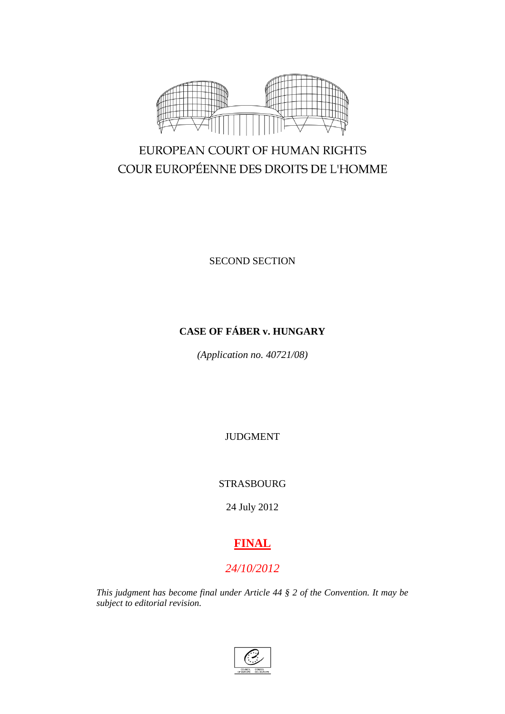

# EUROPEAN COURT OF HUMAN RIGHTS COUR EUROPÉENNE DES DROITS DE L'HOMME

SECOND SECTION

## **CASE OF FÁBER v. HUNGARY**

*(Application no. 40721/08)*

JUDGMENT

STRASBOURG

24 July 2012

# **FINAL**

## *24/10/2012*

*This judgment has become final under Article 44 § 2 of the Convention. It may be subject to editorial revision.*

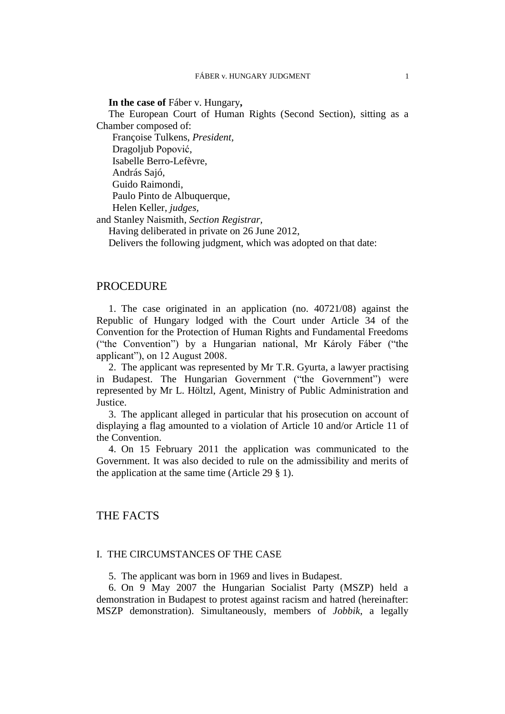#### **In the case of** Fáber v. Hungary**,**

The European Court of Human Rights (Second Section), sitting as a Chamber composed of:

Françoise Tulkens, *President,*

Dragoljub Popović,

Isabelle Berro-Lefèvre,

András Sajó,

Guido Raimondi,

Paulo Pinto de Albuquerque,

Helen Keller, *judges,*

and Stanley Naismith, *Section Registrar,*

Having deliberated in private on 26 June 2012,

Delivers the following judgment, which was adopted on that date:

## PROCEDURE

1. The case originated in an application (no. 40721/08) against the Republic of Hungary lodged with the Court under Article 34 of the Convention for the Protection of Human Rights and Fundamental Freedoms ("the Convention") by a Hungarian national, Mr Károly Fáber ("the applicant"), on 12 August 2008.

2. The applicant was represented by Mr T.R. Gyurta, a lawyer practising in Budapest. The Hungarian Government ("the Government") were represented by Mr L. Höltzl, Agent, Ministry of Public Administration and Justice.

3. The applicant alleged in particular that his prosecution on account of displaying a flag amounted to a violation of Article 10 and/or Article 11 of the Convention.

4. On 15 February 2011 the application was communicated to the Government. It was also decided to rule on the admissibility and merits of the application at the same time (Article 29 § 1).

## THE FACTS

## I. THE CIRCUMSTANCES OF THE CASE

5. The applicant was born in 1969 and lives in Budapest.

6. On 9 May 2007 the Hungarian Socialist Party (MSZP) held a demonstration in Budapest to protest against racism and hatred (hereinafter: MSZP demonstration). Simultaneously, members of *Jobbik*, a legally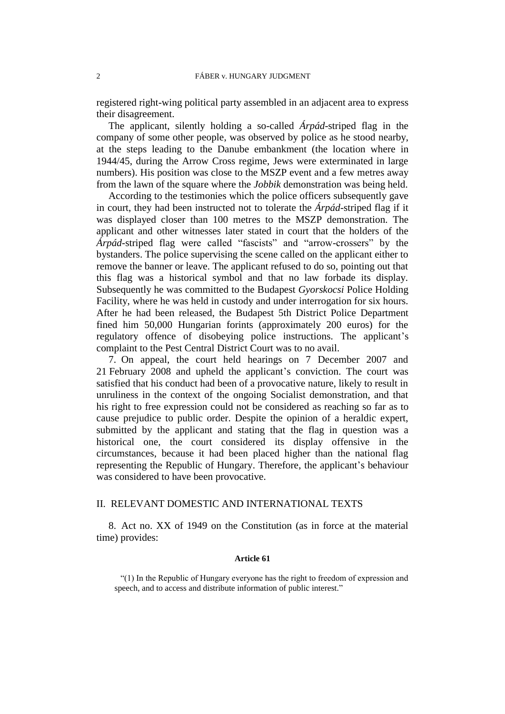registered right-wing political party assembled in an adjacent area to express their disagreement.

The applicant, silently holding a so-called *Árpád*-striped flag in the company of some other people, was observed by police as he stood nearby, at the steps leading to the Danube embankment (the location where in 1944/45, during the Arrow Cross regime, Jews were exterminated in large numbers). His position was close to the MSZP event and a few metres away from the lawn of the square where the *Jobbik* demonstration was being held.

According to the testimonies which the police officers subsequently gave in court, they had been instructed not to tolerate the *Árpád*-striped flag if it was displayed closer than 100 metres to the MSZP demonstration. The applicant and other witnesses later stated in court that the holders of the *Árpád*-striped flag were called "fascists" and "arrow-crossers" by the bystanders. The police supervising the scene called on the applicant either to remove the banner or leave. The applicant refused to do so, pointing out that this flag was a historical symbol and that no law forbade its display. Subsequently he was committed to the Budapest *Gyorskocsi* Police Holding Facility, where he was held in custody and under interrogation for six hours. After he had been released, the Budapest 5th District Police Department fined him 50,000 Hungarian forints (approximately 200 euros) for the regulatory offence of disobeying police instructions. The applicant's complaint to the Pest Central District Court was to no avail.

7. On appeal, the court held hearings on 7 December 2007 and 21 February 2008 and upheld the applicant's conviction. The court was satisfied that his conduct had been of a provocative nature, likely to result in unruliness in the context of the ongoing Socialist demonstration, and that his right to free expression could not be considered as reaching so far as to cause prejudice to public order. Despite the opinion of a heraldic expert, submitted by the applicant and stating that the flag in question was a historical one, the court considered its display offensive in the circumstances, because it had been placed higher than the national flag representing the Republic of Hungary. Therefore, the applicant's behaviour was considered to have been provocative.

## II. RELEVANT DOMESTIC AND INTERNATIONAL TEXTS

8. Act no. XX of 1949 on the Constitution (as in force at the material time) provides:

#### **Article 61**

"(1) In the Republic of Hungary everyone has the right to freedom of expression and speech, and to access and distribute information of public interest."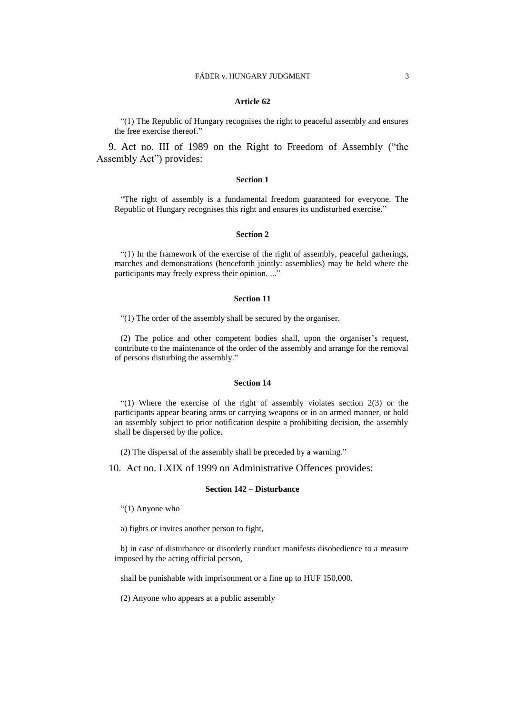#### **Article 62**

"(1) The Republic of Hungary recognises the right to peaceful assembly and ensures the free exercise thereof."

9. Act no. III of 1989 on the Right to Freedom of Assembly ("the Assembly Act") provides:

#### **Section 1**

"The right of assembly is a fundamental freedom guaranteed for everyone. The Republic of Hungary recognises this right and ensures its undisturbed exercise."

#### **Section 2**

"(1) In the framework of the exercise of the right of assembly, peaceful gatherings, marches and demonstrations (henceforth jointly: assemblies) may be held where the participants may freely express their opinion. ..."

#### **Section 11**

"(1) The order of the assembly shall be secured by the organiser.

(2) The police and other competent bodies shall, upon the organiser's request, contribute to the maintenance of the order of the assembly and arrange for the removal of persons disturbing the assembly."

#### **Section 14**

"(1) Where the exercise of the right of assembly violates section  $2(3)$  or the participants appear bearing arms or carrying weapons or in an armed manner, or hold an assembly subject to prior notification despite a prohibiting decision, the assembly shall be dispersed by the police.

(2) The dispersal of the assembly shall be preceded by a warning."

10. Act no. LXIX of 1999 on Administrative Offences provides:

#### **Section 142 – Disturbance**

"(1) Anyone who

a) fights or invites another person to fight,

b) in case of disturbance or disorderly conduct manifests disobedience to a measure imposed by the acting official person,

shall be punishable with imprisonment or a fine up to HUF 150,000.

(2) Anyone who appears at a public assembly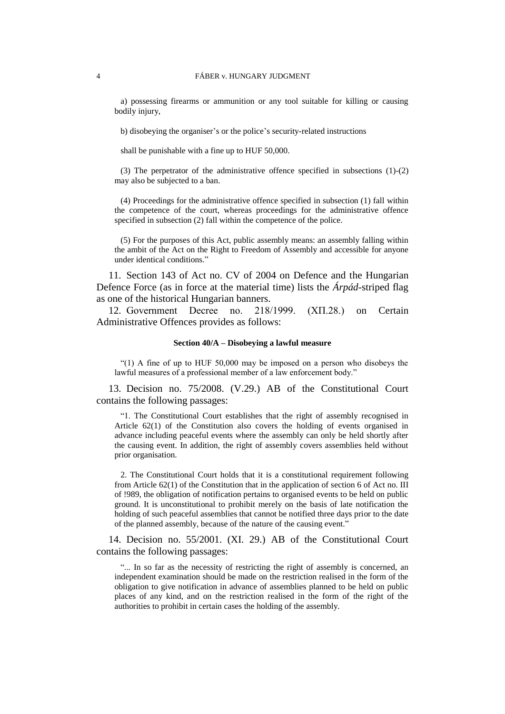a) possessing firearms or ammunition or any tool suitable for killing or causing bodily injury,

b) disobeying the organiser's or the police's security-related instructions

shall be punishable with a fine up to HUF 50,000.

(3) The perpetrator of the administrative offence specified in subsections (1)-(2) may also be subjected to a ban.

(4) Proceedings for the administrative offence specified in subsection (1) fall within the competence of the court, whereas proceedings for the administrative offence specified in subsection (2) fall within the competence of the police.

(5) For the purposes of this Act, public assembly means: an assembly falling within the ambit of the Act on the Right to Freedom of Assembly and accessible for anyone under identical conditions."

11. Section 143 of Act no. CV of 2004 on Defence and the Hungarian Defence Force (as in force at the material time) lists the *Árpád*-striped flag as one of the historical Hungarian banners.

12. Government Decree no. 218/1999. (ХП.28.) on Certain Administrative Offences provides as follows:

#### **Section 40/A – Disobeying a lawful measure**

"(1) A fine of up to HUF  $50,000$  may be imposed on a person who disobeys the lawful measures of a professional member of a law enforcement body."

13. Decision no. 75/2008. (V.29.) AB of the Constitutional Court contains the following passages:

"1. The Constitutional Court establishes that the right of assembly recognised in Article 62(1) of the Constitution also covers the holding of events organised in advance including peaceful events where the assembly can only be held shortly after the causing event. In addition, the right of assembly covers assemblies held without prior organisation.

2. The Constitutional Court holds that it is a constitutional requirement following from Article 62(1) of the Constitution that in the application of section 6 of Act no. III of !989, the obligation of notification pertains to organised events to be held on public ground. It is unconstitutional to prohibit merely on the basis of late notification the holding of such peaceful assemblies that cannot be notified three days prior to the date of the planned assembly, because of the nature of the causing event."

14. Decision no. 55/2001. (XI. 29.) AB of the Constitutional Court contains the following passages:

"... In so far as the necessity of restricting the right of assembly is concerned, an independent examination should be made on the restriction realised in the form of the obligation to give notification in advance of assemblies planned to be held on public places of any kind, and on the restriction realised in the form of the right of the authorities to prohibit in certain cases the holding of the assembly.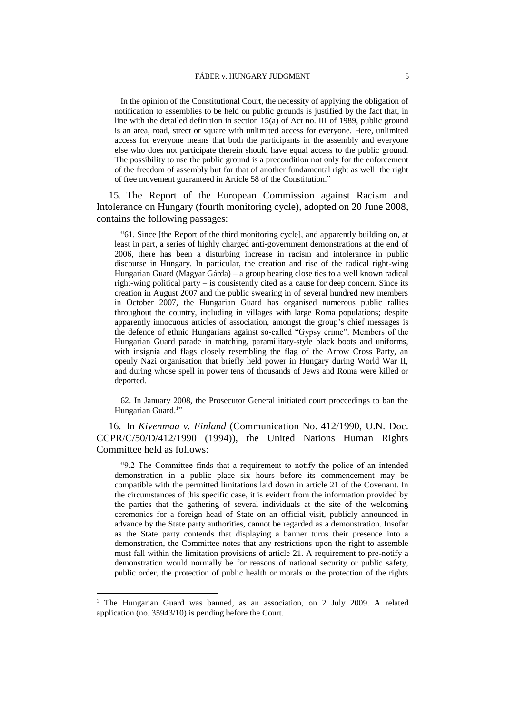In the opinion of the Constitutional Court, the necessity of applying the obligation of notification to assemblies to be held on public grounds is justified by the fact that, in line with the detailed definition in section 15(a) of Act no. III of 1989, public ground is an area, road, street or square with unlimited access for everyone. Here, unlimited access for everyone means that both the participants in the assembly and everyone else who does not participate therein should have equal access to the public ground. The possibility to use the public ground is a precondition not only for the enforcement of the freedom of assembly but for that of another fundamental right as well: the right of free movement guaranteed in Article 58 of the Constitution."

15. The Report of the European Commission against Racism and Intolerance on Hungary (fourth monitoring cycle), adopted on 20 June 2008, contains the following passages:

"61. Since [the Report of the third monitoring cycle], and apparently building on, at least in part, a series of highly charged anti-government demonstrations at the end of 2006, there has been a disturbing increase in racism and intolerance in public discourse in Hungary. In particular, the creation and rise of the radical right-wing Hungarian Guard (Magyar Gárda) – a group bearing close ties to a well known radical right-wing political party – is consistently cited as a cause for deep concern. Since its creation in August 2007 and the public swearing in of several hundred new members in October 2007, the Hungarian Guard has organised numerous public rallies throughout the country, including in villages with large Roma populations; despite apparently innocuous articles of association, amongst the group's chief messages is the defence of ethnic Hungarians against so-called "Gypsy crime". Members of the Hungarian Guard parade in matching, paramilitary-style black boots and uniforms, with insignia and flags closely resembling the flag of the Arrow Cross Party, an openly Nazi organisation that briefly held power in Hungary during World War II, and during whose spell in power tens of thousands of Jews and Roma were killed or deported.

62. In January 2008, the Prosecutor General initiated court proceedings to ban the Hungarian Guard.<sup>1</sup>"

16. In *Kivenmaa v. Finland* (Communication No. 412/1990, U.N. Doc. CCPR/C/50/D/412/1990 (1994)), the United Nations Human Rights Committee held as follows:

"9.2 The Committee finds that a requirement to notify the police of an intended demonstration in a public place six hours before its commencement may be compatible with the permitted limitations laid down in article 21 of the Covenant. In the circumstances of this specific case, it is evident from the information provided by the parties that the gathering of several individuals at the site of the welcoming ceremonies for a foreign head of State on an official visit, publicly announced in advance by the State party authorities, cannot be regarded as a demonstration. Insofar as the State party contends that displaying a banner turns their presence into a demonstration, the Committee notes that any restrictions upon the right to assemble must fall within the limitation provisions of article 21. A requirement to pre-notify a demonstration would normally be for reasons of national security or public safety, public order, the protection of public health or morals or the protection of the rights

 $\overline{a}$ 

<sup>&</sup>lt;sup>1</sup> The Hungarian Guard was banned, as an association, on 2 July 2009. A related application (no. 35943/10) is pending before the Court.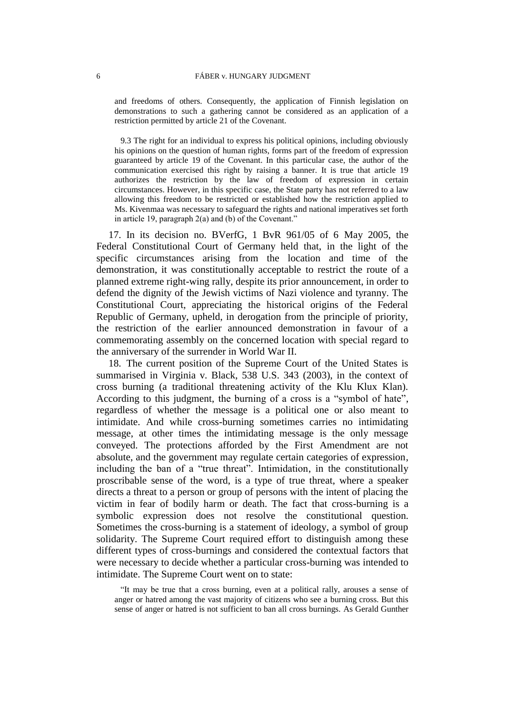and freedoms of others. Consequently, the application of Finnish legislation on demonstrations to such a gathering cannot be considered as an application of a restriction permitted by article 21 of the Covenant.

9.3 The right for an individual to express his political opinions, including obviously his opinions on the question of human rights, forms part of the freedom of expression guaranteed by article 19 of the Covenant. In this particular case, the author of the communication exercised this right by raising a banner. It is true that article 19 authorizes the restriction by the law of freedom of expression in certain circumstances. However, in this specific case, the State party has not referred to a law allowing this freedom to be restricted or established how the restriction applied to Ms. Kivenmaa was necessary to safeguard the rights and national imperatives set forth in article 19, paragraph 2(a) and (b) of the Covenant."

17. In its decision no. BVerfG, 1 BvR 961/05 of 6 May 2005, the Federal Constitutional Court of Germany held that, in the light of the specific circumstances arising from the location and time of the demonstration, it was constitutionally acceptable to restrict the route of a planned extreme right-wing rally, despite its prior announcement, in order to defend the dignity of the Jewish victims of Nazi violence and tyranny. The Constitutional Court, appreciating the historical origins of the Federal Republic of Germany, upheld, in derogation from the principle of priority, the restriction of the earlier announced demonstration in favour of a commemorating assembly on the concerned location with special regard to the anniversary of the surrender in World War II.

18. The current position of the Supreme Court of the United States is summarised in Virginia v. Black, 538 U.S. 343 (2003), in the context of cross burning (a traditional threatening activity of the Klu Klux Klan). According to this judgment, the burning of a cross is a "symbol of hate", regardless of whether the message is a political one or also meant to intimidate. And while cross-burning sometimes carries no intimidating message, at other times the intimidating message is the only message conveyed. The protections afforded by the First Amendment are not absolute, and the government may regulate certain categories of expression, including the ban of a "true threat". Intimidation, in the constitutionally proscribable sense of the word, is a type of true threat, where a speaker directs a threat to a person or group of persons with the intent of placing the victim in fear of bodily harm or death. The fact that cross-burning is a symbolic expression does not resolve the constitutional question. Sometimes the cross-burning is a statement of ideology, a symbol of group solidarity. The Supreme Court required effort to distinguish among these different types of cross-burnings and considered the contextual factors that were necessary to decide whether a particular cross-burning was intended to intimidate. The Supreme Court went on to state:

"It may be true that a cross burning, even at a political rally, arouses a sense of anger or hatred among the vast majority of citizens who see a burning cross. But this sense of anger or hatred is not sufficient to ban all cross burnings. As Gerald Gunther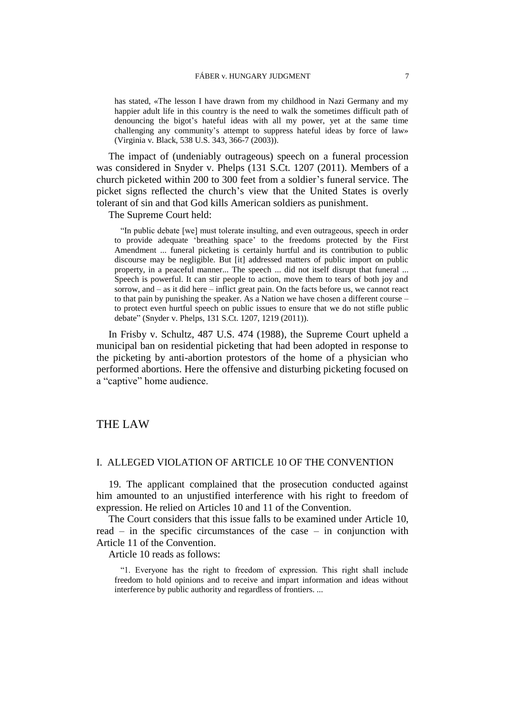has stated, «The lesson I have drawn from my childhood in Nazi Germany and my happier adult life in this country is the need to walk the sometimes difficult path of denouncing the bigot's hateful ideas with all my power, yet at the same time challenging any community's attempt to suppress hateful ideas by force of law» (Virginia v. Black, 538 U.S. 343, 366-7 (2003)).

The impact of (undeniably outrageous) speech on a funeral procession was considered in Snyder v. Phelps (131 S.Ct. 1207 (2011). Members of a church picketed within 200 to 300 feet from a soldier's funeral service. The picket signs reflected the church's view that the United States is overly tolerant of sin and that God kills American soldiers as punishment.

The Supreme Court held:

"In public debate [we] must tolerate insulting, and even outrageous, speech in order to provide adequate 'breathing space' to the freedoms protected by the First Amendment ... funeral picketing is certainly hurtful and its contribution to public discourse may be negligible. But [it] addressed matters of public import on public property, in a peaceful manner... The speech ... did not itself disrupt that funeral ... Speech is powerful. It can stir people to action, move them to tears of both joy and sorrow, and – as it did here – inflict great pain. On the facts before us, we cannot react to that pain by punishing the speaker. As a Nation we have chosen a different course – to protect even hurtful speech on public issues to ensure that we do not stifle public debate" (Snyder v. Phelps, 131 S.Ct. 1207, 1219 (2011)).

In Frisby v. Schultz, 487 U.S. 474 (1988), the Supreme Court upheld a municipal ban on residential picketing that had been adopted in response to the picketing by anti-abortion protestors of the home of a physician who performed abortions. Here the offensive and disturbing picketing focused on a "captive" home audience.

## THE LAW

## I. ALLEGED VIOLATION OF ARTICLE 10 OF THE CONVENTION

19. The applicant complained that the prosecution conducted against him amounted to an unjustified interference with his right to freedom of expression. He relied on Articles 10 and 11 of the Convention.

The Court considers that this issue falls to be examined under Article 10, read – in the specific circumstances of the case – in conjunction with Article 11 of the Convention.

Article 10 reads as follows:

"1. Everyone has the right to freedom of expression. This right shall include freedom to hold opinions and to receive and impart information and ideas without interference by public authority and regardless of frontiers. ...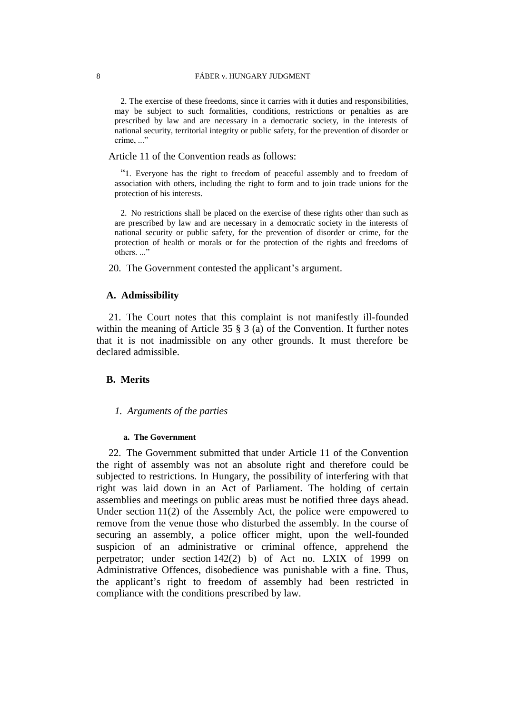#### 8 FÁBER v. HUNGARY JUDGMENT

2. The exercise of these freedoms, since it carries with it duties and responsibilities, may be subject to such formalities, conditions, restrictions or penalties as are prescribed by law and are necessary in a democratic society, in the interests of national security, territorial integrity or public safety, for the prevention of disorder or crime, ..."

Article 11 of the Convention reads as follows:

"1. Everyone has the right to freedom of peaceful assembly and to freedom of association with others, including the right to form and to join trade unions for the protection of his interests.

2. No restrictions shall be placed on the exercise of these rights other than such as are prescribed by law and are necessary in a democratic society in the interests of national security or public safety, for the prevention of disorder or crime, for the protection of health or morals or for the protection of the rights and freedoms of others..."

20. The Government contested the applicant's argument.

## **A. Admissibility**

21. The Court notes that this complaint is not manifestly ill-founded within the meaning of Article 35 § 3 (a) of the Convention. It further notes that it is not inadmissible on any other grounds. It must therefore be declared admissible.

## **B. Merits**

#### *1. Arguments of the parties*

#### **a. The Government**

22. The Government submitted that under Article 11 of the Convention the right of assembly was not an absolute right and therefore could be subjected to restrictions. In Hungary, the possibility of interfering with that right was laid down in an Act of Parliament. The holding of certain assemblies and meetings on public areas must be notified three days ahead. Under section 11(2) of the Assembly Act, the police were empowered to remove from the venue those who disturbed the assembly. In the course of securing an assembly, a police officer might, upon the well-founded suspicion of an administrative or criminal offence, apprehend the perpetrator; under section 142(2) b) of Act no. LXIX of 1999 on Administrative Offences, disobedience was punishable with a fine. Thus, the applicant's right to freedom of assembly had been restricted in compliance with the conditions prescribed by law.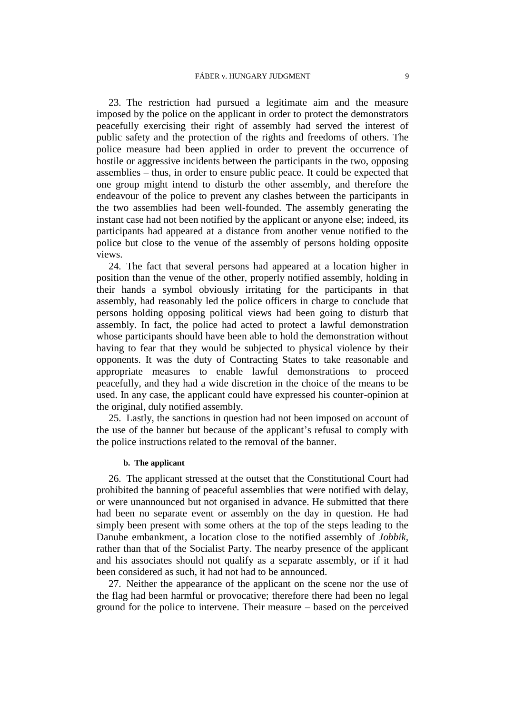23. The restriction had pursued a legitimate aim and the measure imposed by the police on the applicant in order to protect the demonstrators peacefully exercising their right of assembly had served the interest of public safety and the protection of the rights and freedoms of others. The police measure had been applied in order to prevent the occurrence of hostile or aggressive incidents between the participants in the two, opposing assemblies – thus, in order to ensure public peace. It could be expected that one group might intend to disturb the other assembly, and therefore the endeavour of the police to prevent any clashes between the participants in the two assemblies had been well-founded. The assembly generating the instant case had not been notified by the applicant or anyone else; indeed, its participants had appeared at a distance from another venue notified to the police but close to the venue of the assembly of persons holding opposite views.

24. The fact that several persons had appeared at a location higher in position than the venue of the other, properly notified assembly, holding in their hands a symbol obviously irritating for the participants in that assembly, had reasonably led the police officers in charge to conclude that persons holding opposing political views had been going to disturb that assembly. In fact, the police had acted to protect a lawful demonstration whose participants should have been able to hold the demonstration without having to fear that they would be subjected to physical violence by their opponents. It was the duty of Contracting States to take reasonable and appropriate measures to enable lawful demonstrations to proceed peacefully, and they had a wide discretion in the choice of the means to be used. In any case, the applicant could have expressed his counter-opinion at the original, duly notified assembly.

25. Lastly, the sanctions in question had not been imposed on account of the use of the banner but because of the applicant's refusal to comply with the police instructions related to the removal of the banner.

#### **b. The applicant**

26. The applicant stressed at the outset that the Constitutional Court had prohibited the banning of peaceful assemblies that were notified with delay, or were unannounced but not organised in advance. He submitted that there had been no separate event or assembly on the day in question. He had simply been present with some others at the top of the steps leading to the Danube embankment, a location close to the notified assembly of *Jobbik,*  rather than that of the Socialist Party. The nearby presence of the applicant and his associates should not qualify as a separate assembly, or if it had been considered as such, it had not had to be announced.

27. Neither the appearance of the applicant on the scene nor the use of the flag had been harmful or provocative; therefore there had been no legal ground for the police to intervene. Their measure – based on the perceived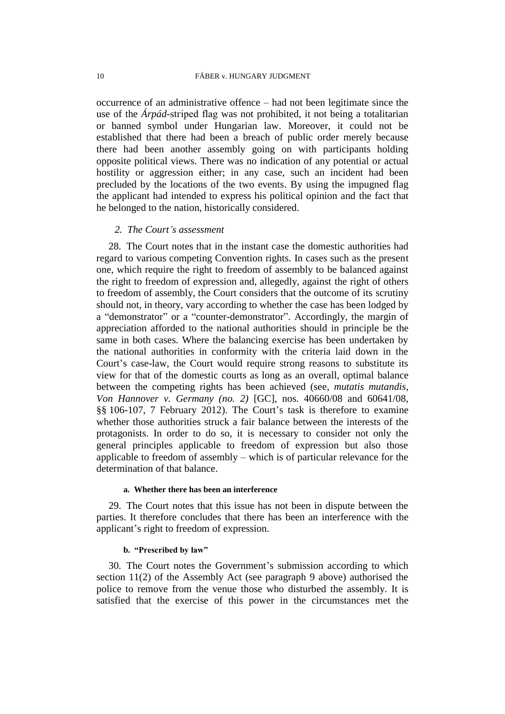occurrence of an administrative offence – had not been legitimate since the use of the *Árpád*-stгiped flag was not prohibited, it not being a totalitarian or banned symbol under Hungarian law. Moreover, it could not be established that there had been a breach of public order merely because there had been another assembly going on with participants holding opposite political views. There was no indication of any potential or actual hostility or aggression either; in any case, such an incident had been precluded by the locations of the two events. By using the impugned flag the applicant had intended to express his political opinion and the fact that he belonged to the nation, historically considered.

## *2. The Court's assessment*

28. The Court notes that in the instant case the domestic authorities had regard to various competing Convention rights. In cases such as the present one, which require the right to freedom of assembly to be balanced against the right to freedom of expression and, allegedly, against the right of others to freedom of assembly, the Court considers that the outcome of its scrutiny should not, in theory, vary according to whether the case has been lodged by a "demonstrator" or a "counter-demonstrator". Accordingly, the margin of appreciation afforded to the national authorities should in principle be the same in both cases. Where the balancing exercise has been undertaken by the national authorities in conformity with the criteria laid down in the Court's case-law, the Court would require strong reasons to substitute its view for that of the domestic courts as long as an overall, optimal balance between the competing rights has been achieved (see, *mutatis mutandis*, *Von Hannover v. Germany (no. 2)* [GC], nos. 40660/08 and 60641/08, §§ 106-107, 7 February 2012). The Court's task is therefore to examine whether those authorities struck a fair balance between the interests of the protagonists. In order to do so, it is necessary to consider not only the general principles applicable to freedom of expression but also those applicable to freedom of assembly – which is of particular relevance for the determination of that balance.

#### **a. Whether there has been an interference**

29. The Court notes that this issue has not been in dispute between the parties. It therefore concludes that there has been an interference with the applicant's right to freedom of expression.

#### **b. "Prescribed by law"**

30. The Court notes the Government's submission according to which section 11(2) of the Assembly Act (see paragraph 9 above) authorised the police to remove from the venue those who disturbed the assembly. It is satisfied that the exercise of this power in the circumstances met the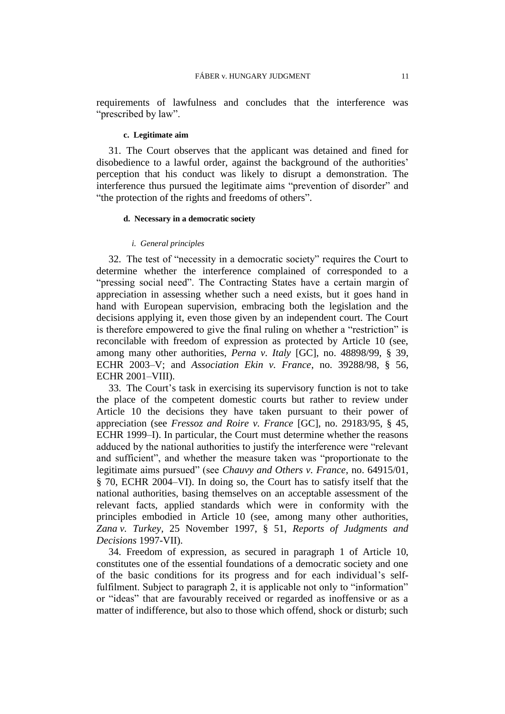requirements of lawfulness and concludes that the interference was "prescribed by law".

#### **c. Legitimate aim**

31. The Court observes that the applicant was detained and fined for disobedience to a lawful order, against the background of the authorities' perception that his conduct was likely to disrupt a demonstration. The interference thus pursued the legitimate aims "prevention of disorder" and "the protection of the rights and freedoms of others".

#### **d. Necessary in a democratic society**

#### *i. General principles*

32. The test of "necessity in a democratic society" requires the Court to determine whether the interference complained of corresponded to a "pressing social need". The Contracting States have a certain margin of appreciation in assessing whether such a need exists, but it goes hand in hand with European supervision, embracing both the legislation and the decisions applying it, even those given by an independent court. The Court is therefore empowered to give the final ruling on whether a "restriction" is reconcilable with freedom of expression as protected by Article 10 (see, among many other authorities, *Perna v. Italy* [GC], no. 48898/99, § 39, ECHR 2003–V; and *Association Ekin v. France*, no. 39288/98, § 56, ECHR 2001–VIII).

33. The Court's task in exercising its supervisory function is not to take the place of the competent domestic courts but rather to review under Article 10 the decisions they have taken pursuant to their power of appreciation (see *Fressoz and Roire v. France* [GC], no. 29183/95, § 45, ECHR 1999–I). In particular, the Court must determine whether the reasons adduced by the national authorities to justify the interference were "relevant and sufficient", and whether the measure taken was "proportionate to the legitimate aims pursued" (see *Chauvy and Others v. France*, no. 64915/01, § 70, ECHR 2004–VI). In doing so, the Court has to satisfy itself that the national authorities, basing themselves on an acceptable assessment of the relevant facts, applied standards which were in conformity with the principles embodied in Article 10 (see, among many other authorities, *Zana v. Turkey*, 25 November 1997, § 51, *Reports of Judgments and Decisions* 1997-VII).

34. Freedom of expression, as secured in paragraph 1 of Article 10, constitutes one of the essential foundations of a democratic society and one of the basic conditions for its progress and for each individual's selffulfilment. Subject to paragraph 2, it is applicable not only to "information" or "ideas" that are favourably received or regarded as inoffensive or as a matter of indifference, but also to those which offend, shock or disturb; such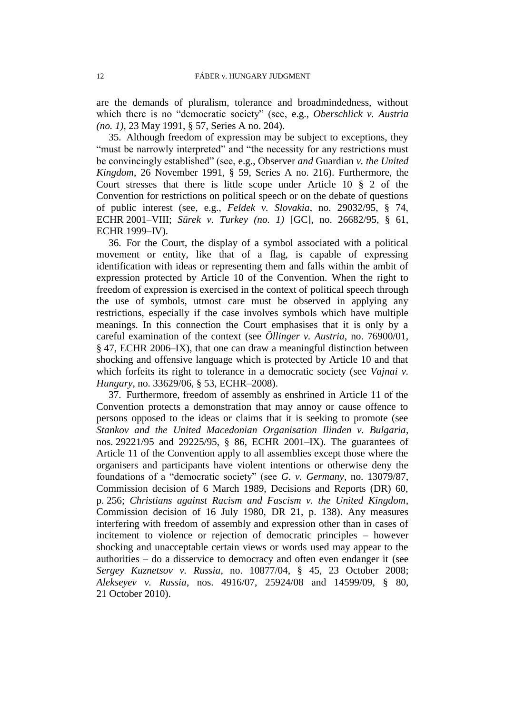are the demands of pluralism, tolerance and broadmindedness, without which there is no "democratic society" (see, e.g., *Oberschlick v. Austria (no. 1)*, 23 May 1991, § 57, Series A no. 204).

35. Although freedom of expression may be subject to exceptions, they "must be narrowly interpreted" and "the necessity for any restrictions must be convincingly established" (see, e.g., Observer *and* Guardian *v. the United Kingdom*, 26 November 1991, § 59, Series A no. 216). Furthermore, the Court stresses that there is little scope under Article 10 § 2 of the Convention for restrictions on political speech or on the debate of questions of public interest (see, e.g., *Feldek v. Slovakia*, no. 29032/95, § 74, ECHR 2001–VIII; *Sürek v. Turkey (no. 1)* [GC], no. 26682/95, § 61, ECHR 1999–IV).

36. For the Court, the display of a symbol associated with a political movement or entity, like that of a flag, is capable of expressing identification with ideas or representing them and falls within the ambit of expression protected by Article 10 of the Convention. When the right to freedom of expression is exercised in the context of political speech through the use of symbols, utmost care must be observed in applying any restrictions, especially if the case involves symbols which have multiple meanings. In this connection the Court emphasises that it is only by a careful examination of the context (see *Öllinger v. Austria*, no. 76900/01, § 47, ECHR 2006–IX), that one can draw a meaningful distinction between shocking and offensive language which is protected by Article 10 and that which forfeits its right to tolerance in a democratic society (see *Vajnai v. Hungary*, no. 33629/06, § 53, ECHR–2008).

37. Furthermore, freedom of assembly as enshrined in Article 11 of the Convention protects a demonstration that may annoy or cause offence to persons opposed to the ideas or claims that it is seeking to promote (see *Stankov and the United Macedonian Organisation Ilinden v. Bulgaria*, nos. 29221/95 and 29225/95, § 86, ECHR 2001–IX). The guarantees of Article 11 of the Convention apply to all assemblies except those where the organisers and participants have violent intentions or otherwise deny the foundations of a "democratic society" (see *G. v. Germany*, no. 13079/87, Commission decision of 6 March 1989, Decisions and Reports (DR) 60, p. 256; *Christians against Racism and Fascism v. the United Kingdom*, Commission decision of 16 July 1980, DR 21, p. 138). Any measures interfering with freedom of assembly and expression other than in cases of incitement to violence or rejection of democratic principles – however shocking and unacceptable certain views or words used may appear to the authorities – do a disservice to democracy and often even endanger it (see *Sergey Kuznetsov v. Russia*, no. 10877/04, § 45, 23 October 2008; *Alekseyev v. Russia*, nos. 4916/07, 25924/08 and 14599/09, § 80, 21 October 2010).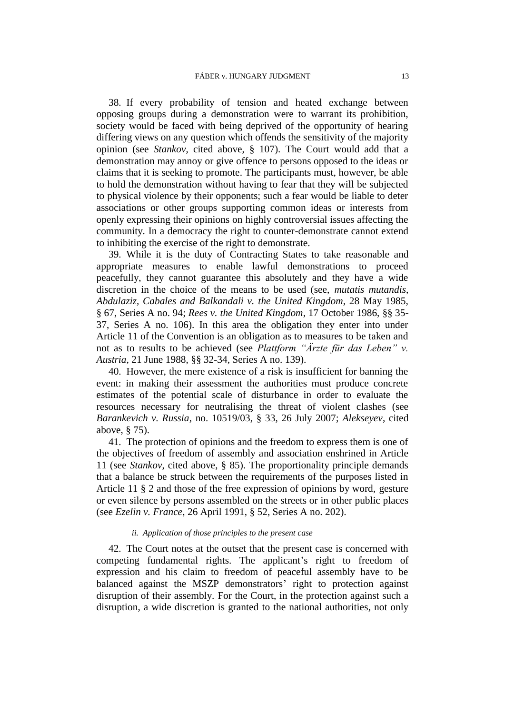38. If every probability of tension and heated exchange between opposing groups during a demonstration were to warrant its prohibition, society would be faced with being deprived of the opportunity of hearing differing views on any question which offends the sensitivity of the majority opinion (see *Stankov*, cited above, § 107). The Court would add that a demonstration may annoy or give offence to persons opposed to the ideas or claims that it is seeking to promote. The participants must, however, be able to hold the demonstration without having to fear that they will be subjected to physical violence by their opponents; such a fear would be liable to deter associations or other groups supporting common ideas or interests from openly expressing their opinions on highly controversial issues affecting the community. In a democracy the right to counter-demonstrate cannot extend to inhibiting the exercise of the right to demonstrate.

39. While it is the duty of Contracting States to take reasonable and appropriate measures to enable lawful demonstrations to proceed peacefully, they cannot guarantee this absolutely and they have a wide discretion in the choice of the means to be used (see, *mutatis mutandis*, *Abdulaziz, Cabales and Balkandali v. the United Kingdom*, 28 May 1985, § 67, Series A no. 94; *Rees v. the United Kingdom*, 17 October 1986, §§ 35- 37, Series A no. 106). In this area the obligation they enter into under Article 11 of the Convention is an obligation as to measures to be taken and not as to results to be achieved (see *Plattform "Ärzte für das Leben" v. Austria*, 21 June 1988, §§ 32-34, Series A no. 139).

40. However, the mere existence of a risk is insufficient for banning the event: in making their assessment the authorities must produce concrete estimates of the potential scale of disturbance in order to evaluate the resources necessary for neutralising the threat of violent clashes (see *Barankevich v. Russia*, no. 10519/03, § 33, 26 July 2007; *Alekseyev*, cited above, § 75).

41. The protection of opinions and the freedom to express them is one of the objectives of freedom of assembly and association enshrined in Article 11 (see *Stankov*, cited above, § 85). The proportionality principle demands that a balance be struck between the requirements of the purposes listed in Article 11 § 2 and those of the free expression of opinions by word, gesture or even silence by persons assembled on the streets or in other public places (see *Ezelin v. France*, 26 April 1991, § 52, Series A no. 202).

#### *ii. Application of those principles to the present case*

42. The Court notes at the outset that the present case is concerned with competing fundamental rights. The applicant's right to freedom of expression and his claim to freedom of peaceful assembly have to be balanced against the MSZP demonstrators' right to protection against disruption of their assembly. For the Court, in the protection against such a disruption, a wide discretion is granted to the national authorities, not only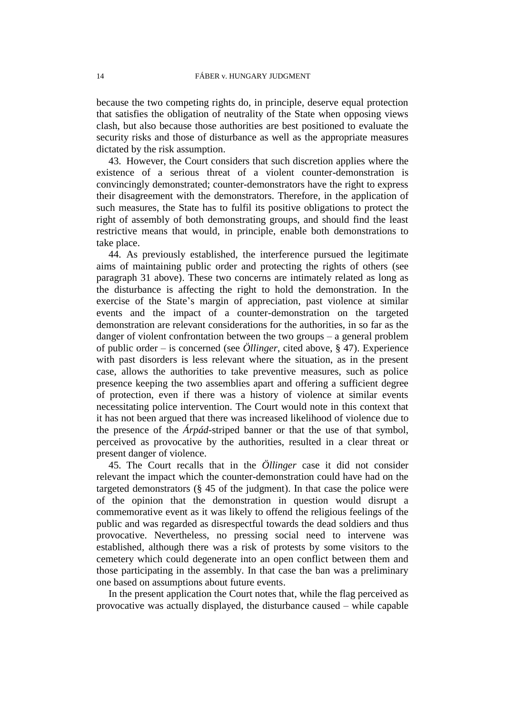because the two competing rights do, in principle, deserve equal protection that satisfies the obligation of neutrality of the State when opposing views clash, but also because those authorities are best positioned to evaluate the security risks and those of disturbance as well as the appropriate measures dictated by the risk assumption.

43. However, the Court considers that such discretion applies where the existence of a serious threat of a violent counter-demonstration is convincingly demonstrated; counter-demonstrators have the right to express their disagreement with the demonstrators. Therefore, in the application of such measures, the State has to fulfil its positive obligations to protect the right of assembly of both demonstrating groups, and should find the least restrictive means that would, in principle, enable both demonstrations to take place.

44. As previously established, the interference pursued the legitimate aims of maintaining public order and protecting the rights of others (see paragraph 31 above). These two concerns are intimately related as long as the disturbance is affecting the right to hold the demonstration. In the exercise of the State's margin of appreciation, past violence at similar events and the impact of a counter-demonstration on the targeted demonstration are relevant considerations for the authorities, in so far as the danger of violent confrontation between the two groups – a general problem of public order – is concerned (see *Öllinger*, cited above, § 47). Experience with past disorders is less relevant where the situation, as in the present case, allows the authorities to take preventive measures, such as police presence keeping the two assemblies apart and offering a sufficient degree of protection, even if there was a history of violence at similar events necessitating police intervention. The Court would note in this context that it has not been argued that there was increased likelihood of violence due to the presence of the *Árpád*-striped banner or that the use of that symbol, perceived as provocative by the authorities, resulted in a clear threat or present danger of violence.

45. The Court recalls that in the *Öllinger* case it did not consider relevant the impact which the counter-demonstration could have had on the targeted demonstrators  $(\S 45$  of the judgment). In that case the police were of the opinion that the demonstration in question would disrupt a commemorative event as it was likely to offend the religious feelings of the public and was regarded as disrespectful towards the dead soldiers and thus provocative. Nevertheless, no pressing social need to intervene was established, although there was a risk of protests by some visitors to the cemetery which could degenerate into an open conflict between them and those participating in the assembly. In that case the ban was a preliminary one based on assumptions about future events.

In the present application the Court notes that, while the flag perceived as provocative was actually displayed, the disturbance caused – while capable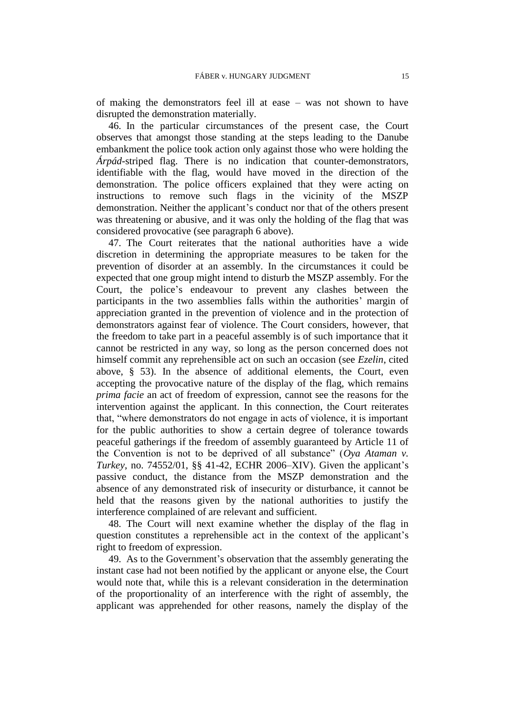of making the demonstrators feel ill at ease – was not shown to have disrupted the demonstration materially.

46. In the particular circumstances of the present case, the Court observes that amongst those standing at the steps leading to the Danube embankment the police took action only against those who were holding the *Árpád*-striped flag. There is no indication that counter-demonstrators, identifiable with the flag, would have moved in the direction of the demonstration. The police officers explained that they were acting on instructions to remove such flags in the vicinity of the MSZP demonstration. Neither the applicant's conduct nor that of the others present was threatening or abusive, and it was only the holding of the flag that was considered provocative (see paragraph 6 above).

47. The Court reiterates that the national authorities have a wide discretion in determining the appropriate measures to be taken for the prevention of disorder at an assembly. In the circumstances it could be expected that one group might intend to disturb the MSZP assembly. For the Court, the police's endeavour to prevent any clashes between the participants in the two assemblies falls within the authorities' margin of appreciation granted in the prevention of violence and in the protection of demonstrators against fear of violence. The Court considers, however, that the freedom to take part in a peaceful assembly is of such importance that it cannot be restricted in any way, so long as the person concerned does not himself commit any reprehensible act on such an occasion (see *Ezelin*, cited above, § 53). In the absence of additional elements, the Court, even accepting the provocative nature of the display of the flag, which remains *prima facie* an act of freedom of expression, cannot see the reasons for the intervention against the applicant. In this connection, the Court reiterates that, "where demonstrators do not engage in acts of violence, it is important for the public authorities to show a certain degree of tolerance towards peaceful gatherings if the freedom of assembly guaranteed by Article 11 of the Convention is not to be deprived of all substance" (*Oya Ataman v. Turkey*, no. 74552/01, §§ 41-42, ECHR 2006–XIV). Given the applicant's passive conduct, the distance from the MSZP demonstration and the absence of any demonstrated risk of insecurity or disturbance, it cannot be held that the reasons given by the national authorities to justify the interference complained of are relevant and sufficient.

48. The Court will next examine whether the display of the flag in question constitutes a reprehensible act in the context of the applicant's right to freedom of expression.

49. As to the Government's observation that the assembly generating the instant case had not been notified by the applicant or anyone else, the Court would note that, while this is a relevant consideration in the determination of the proportionality of an interference with the right of assembly, the applicant was apprehended for other reasons, namely the display of the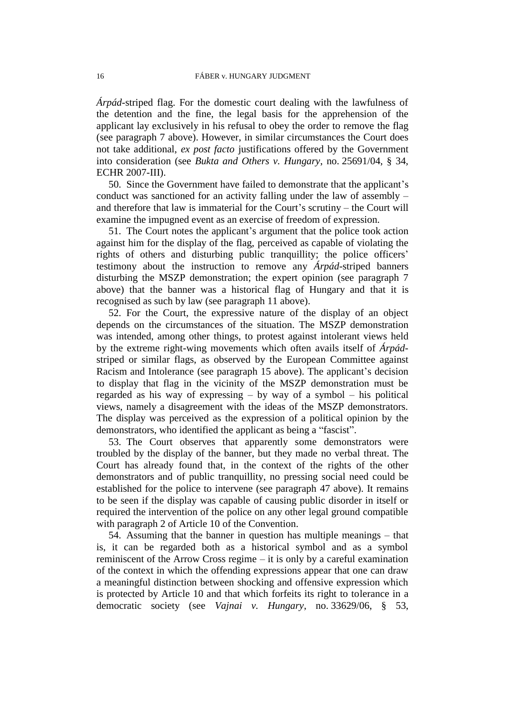*Árpád*-striped flag. For the domestic court dealing with the lawfulness of the detention and the fine, the legal basis for the apprehension of the applicant lay exclusively in his refusal to obey the order to remove the flag (see paragraph 7 above). However, in similar circumstances the Court does not take additional, *ex post facto* justifications offered by the Government into consideration (see *Bukta and Others v. Hungary*, no. 25691/04, § 34, ECHR 2007-III).

50. Since the Government have failed to demonstrate that the applicant's conduct was sanctioned for an activity falling under the law of assembly – and therefore that law is immaterial for the Court's scrutiny – the Court will examine the impugned event as an exercise of freedom of expression.

51. The Court notes the applicant's argument that the police took action against him for the display of the flag, perceived as capable of violating the rights of others and disturbing public tranquillity; the police officers' testimony about the instruction to remove any *Árpád*-striped banners disturbing the MSZP demonstration; the expert opinion (see paragraph 7 above) that the banner was a historical flag of Hungary and that it is recognised as such by law (see paragraph 11 above).

52. For the Court, the expressive nature of the display of an object depends on the circumstances of the situation. The MSZP demonstration was intended, among other things, to protest against intolerant views held by the extreme right-wing movements which often avails itself of *Árpád*striped or similar flags, as observed by the European Committee against Racism and Intolerance (see paragraph 15 above). The applicant's decision to display that flag in the vicinity of the MSZP demonstration must be regarded as his way of expressing – by way of a symbol – his political views, namely a disagreement with the ideas of the MSZP demonstrators. The display was perceived as the expression of a political opinion by the demonstrators, who identified the applicant as being a "fascist".

53. The Court observes that apparently some demonstrators were troubled by the display of the banner, but they made no verbal threat. The Court has already found that, in the context of the rights of the other demonstrators and of public tranquillity, no pressing social need could be established for the police to intervene (see paragraph 47 above). It remains to be seen if the display was capable of causing public disorder in itself or required the intervention of the police on any other legal ground compatible with paragraph 2 of Article 10 of the Convention.

54. Assuming that the banner in question has multiple meanings – that is, it can be regarded both as a historical symbol and as a symbol reminiscent of the Arrow Cross regime – it is only by a careful examination of the context in which the offending expressions appear that one can draw a meaningful distinction between shocking and offensive expression which is protected by Article 10 and that which forfeits its right to tolerance in a democratic society (see *Vajnai v. Hungary*, no. 33629/06, § 53,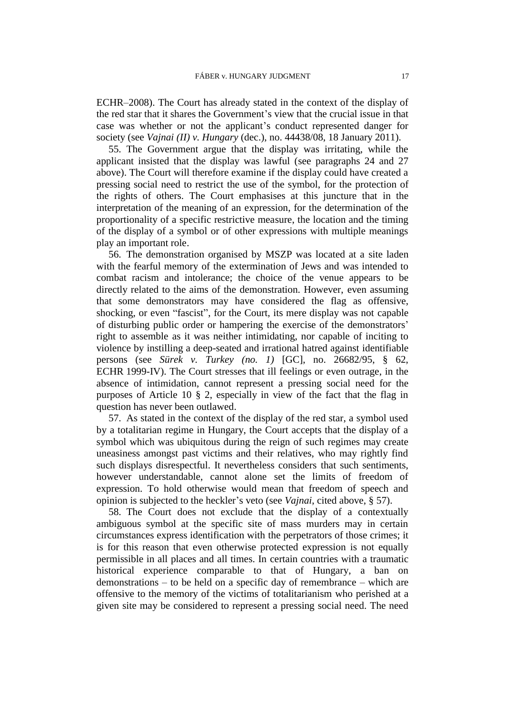ECHR–2008). The Court has already stated in the context of the display of the red star that it shares the Government's view that the crucial issue in that case was whether or not the applicant's conduct represented danger for society (see *Vajnai (II) v. Hungary* (dec.), no. 44438/08, 18 January 2011).

55. The Government argue that the display was irritating, while the applicant insisted that the display was lawful (see paragraphs 24 and 27 above). The Court will therefore examine if the display could have created a pressing social need to restrict the use of the symbol, for the protection of the rights of others. The Court emphasises at this juncture that in the interpretation of the meaning of an expression, for the determination of the proportionality of a specific restrictive measure, the location and the timing of the display of a symbol or of other expressions with multiple meanings play an important role.

56. The demonstration organised by MSZP was located at a site laden with the fearful memory of the extermination of Jews and was intended to combat racism and intolerance; the choice of the venue appears to be directly related to the aims of the demonstration. However, even assuming that some demonstrators may have considered the flag as offensive, shocking, or even "fascist", for the Court, its mere display was not capable of disturbing public order or hampering the exercise of the demonstrators' right to assemble as it was neither intimidating, nor capable of inciting to violence by instilling a deep-seated and irrational hatred against identifiable persons (see *Sürek v. Turkey (no. 1)* [GC], no. 26682/95, § 62, ECHR 1999-IV). The Court stresses that ill feelings or even outrage, in the absence of intimidation, cannot represent a pressing social need for the purposes of Article 10 § 2, especially in view of the fact that the flag in question has never been outlawed.

57. As stated in the context of the display of the red star, a symbol used by a totalitarian regime in Hungary, the Court accepts that the display of a symbol which was ubiquitous during the reign of such regimes may create uneasiness amongst past victims and their relatives, who may rightly find such displays disrespectful. It nevertheless considers that such sentiments, however understandable, cannot alone set the limits of freedom of expression. To hold otherwise would mean that freedom of speech and opinion is subjected to the heckler's veto (see *Vajnai*, cited above, § 57).

58. The Court does not exclude that the display of a contextually ambiguous symbol at the specific site of mass murders may in certain circumstances express identification with the perpetrators of those crimes; it is for this reason that even otherwise protected expression is not equally permissible in all places and all times. In certain countries with a traumatic historical experience comparable to that of Hungary, a ban on demonstrations – to be held on a specific day of remembrance – which are offensive to the memory of the victims of totalitarianism who perished at a given site may be considered to represent a pressing social need. The need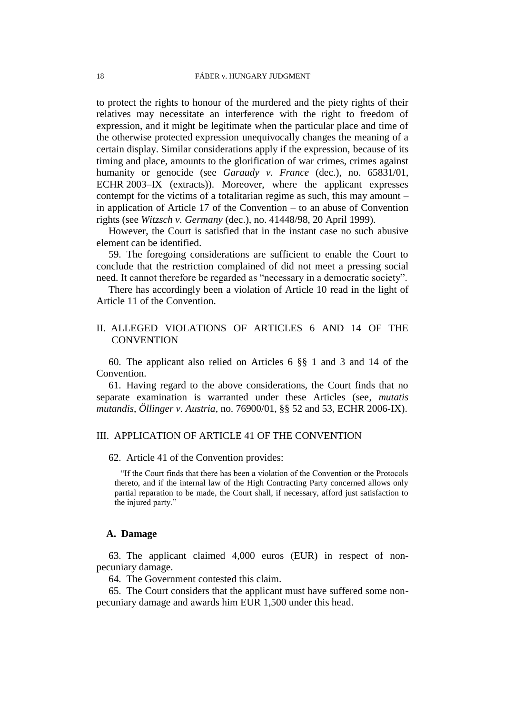to protect the rights to honour of the murdered and the piety rights of their relatives may necessitate an interference with the right to freedom of expression, and it might be legitimate when the particular place and time of the otherwise protected expression unequivocally changes the meaning of a certain display. Similar considerations apply if the expression, because of its timing and place, amounts to the glorification of war crimes, crimes against humanity or genocide (see *Garaudy v. France* (dec.), no. 65831/01, ECHR 2003–IX (extracts)). Moreover, where the applicant expresses contempt for the victims of a totalitarian regime as such, this may amount – in application of Article 17 of the Convention – to an abuse of Convention rights (see *Witzsch v. Germany* (dec.), no. 41448/98, 20 April 1999).

However, the Court is satisfied that in the instant case no such abusive element can be identified.

59. The foregoing considerations are sufficient to enable the Court to conclude that the restriction complained of did not meet a pressing social need. It cannot therefore be regarded as "necessary in a democratic society".

There has accordingly been a violation of Article 10 read in the light of Article 11 of the Convention.

## II. ALLEGED VIOLATIONS OF ARTICLES 6 AND 14 OF THE **CONVENTION**

60. The applicant also relied on Articles 6 §§ 1 and 3 and 14 of the Convention.

61. Having regard to the above considerations, the Court finds that no separate examination is warranted under these Articles (see, *mutatis mutandis*, *Öllinger v. Austria*, no. 76900/01, §§ 52 and 53, ECHR 2006-IX).

## III. APPLICATION OF ARTICLE 41 OF THE CONVENTION

62. Article 41 of the Convention provides:

"If the Court finds that there has been a violation of the Convention or the Protocols thereto, and if the internal law of the High Contracting Party concerned allows only partial reparation to be made, the Court shall, if necessary, afford just satisfaction to the injured party."

## **A. Damage**

63. The applicant claimed 4,000 euros (EUR) in respect of nonpecuniary damage.

64. The Government contested this claim.

65. The Court considers that the applicant must have suffered some nonpecuniary damage and awards him EUR 1,500 under this head.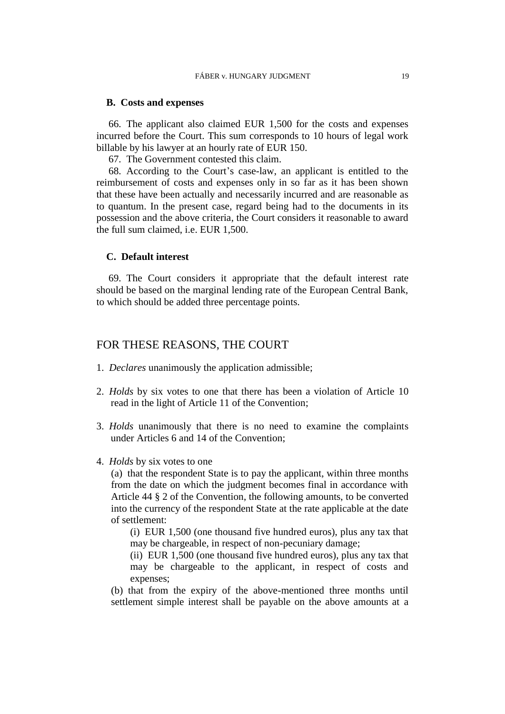## **B. Costs and expenses**

66. The applicant also claimed EUR 1,500 for the costs and expenses incurred before the Court. This sum corresponds to 10 hours of legal work billable by his lawyer at an hourly rate of EUR 150.

67. The Government contested this claim.

68. According to the Court's case-law, an applicant is entitled to the reimbursement of costs and expenses only in so far as it has been shown that these have been actually and necessarily incurred and are reasonable as to quantum. In the present case, regard being had to the documents in its possession and the above criteria, the Court considers it reasonable to award the full sum claimed, i.e. EUR 1,500.

## **C. Default interest**

69. The Court considers it appropriate that the default interest rate should be based on the marginal lending rate of the European Central Bank, to which should be added three percentage points.

## FOR THESE REASONS, THE COURT

- 1. *Declares* unanimously the application admissible;
- 2. *Holds* by six votes to one that there has been a violation of Article 10 read in the light of Article 11 of the Convention;
- 3. *Holds* unanimously that there is no need to examine the complaints under Articles 6 and 14 of the Convention;
- 4. *Holds* by six votes to one

(a) that the respondent State is to pay the applicant, within three months from the date on which the judgment becomes final in accordance with Article 44 § 2 of the Convention, the following amounts, to be converted into the currency of the respondent State at the rate applicable at the date of settlement:

(i) EUR 1,500 (one thousand five hundred euros), plus any tax that may be chargeable, in respect of non-pecuniary damage;

(ii) EUR 1,500 (one thousand five hundred euros), plus any tax that may be chargeable to the applicant, in respect of costs and expenses;

(b) that from the expiry of the above-mentioned three months until settlement simple interest shall be payable on the above amounts at a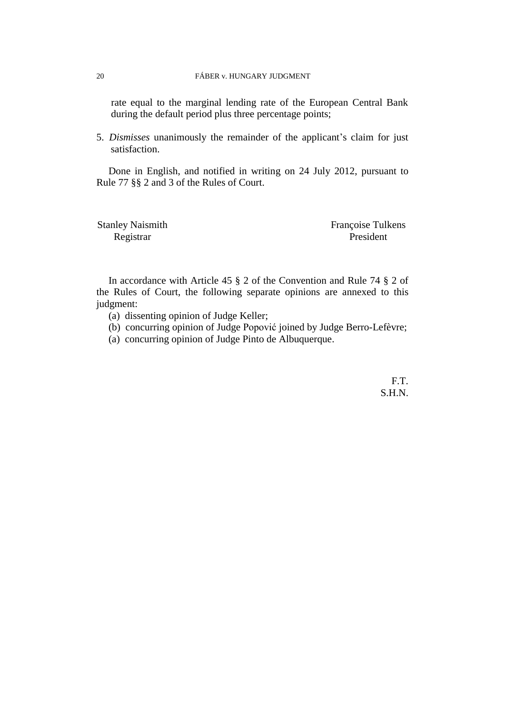rate equal to the marginal lending rate of the European Central Bank during the default period plus three percentage points;

5. *Dismisses* unanimously the remainder of the applicant's claim for just satisfaction.

Done in English, and notified in writing on 24 July 2012, pursuant to Rule 77 §§ 2 and 3 of the Rules of Court.

Registrar President

Stanley Naismith Françoise Tulkens

In accordance with Article 45 § 2 of the Convention and Rule 74 § 2 of the Rules of Court, the following separate opinions are annexed to this judgment:

- (a) dissenting opinion of Judge Keller;
- (b) concurring opinion of Judge Popović joined by Judge Berro-Lefèvre;
- (a) concurring opinion of Judge Pinto de Albuquerque.

F.T. S.H.N.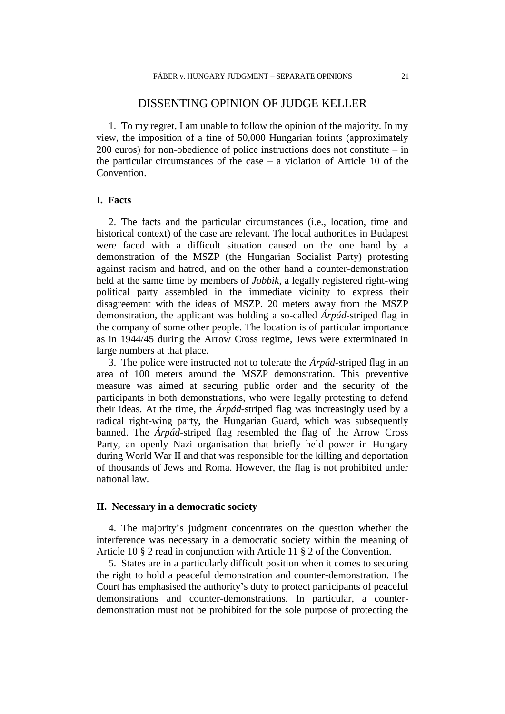## DISSENTING OPINION OF JUDGE KELLER

1. To my regret, I am unable to follow the opinion of the majority. In my view, the imposition of a fine of 50,000 Hungarian forints (approximately 200 euros) for non-obedience of police instructions does not constitute – in the particular circumstances of the case  $-$  a violation of Article 10 of the Convention.

## **I. Facts**

2. The facts and the particular circumstances (i.e., location, time and historical context) of the case are relevant. The local authorities in Budapest were faced with a difficult situation caused on the one hand by a demonstration of the MSZP (the Hungarian Socialist Party) protesting against racism and hatred, and on the other hand a counter-demonstration held at the same time by members of *Jobbik*, a legally registered right-wing political party assembled in the immediate vicinity to express their disagreement with the ideas of MSZP. 20 meters away from the MSZP demonstration, the applicant was holding a so-called *Árpád*-striped flag in the company of some other people. The location is of particular importance as in 1944/45 during the Arrow Cross regime, Jews were exterminated in large numbers at that place.

3. The police were instructed not to tolerate the *Árpád*-striped flag in an area of 100 meters around the MSZP demonstration. This preventive measure was aimed at securing public order and the security of the participants in both demonstrations, who were legally protesting to defend their ideas. At the time, the *Árpád*-striped flag was increasingly used by a radical right-wing party, the Hungarian Guard, which was subsequently banned. The *Árpád*-striped flag resembled the flag of the Arrow Cross Party, an openly Nazi organisation that briefly held power in Hungary during World War II and that was responsible for the killing and deportation of thousands of Jews and Roma. However, the flag is not prohibited under national law.

## **II. Necessary in a democratic society**

4. The majority's judgment concentrates on the question whether the interference was necessary in a democratic society within the meaning of Article 10 § 2 read in conjunction with Article 11 § 2 of the Convention.

5. States are in a particularly difficult position when it comes to securing the right to hold a peaceful demonstration and counter-demonstration. The Court has emphasised the authority's duty to protect participants of peaceful demonstrations and counter-demonstrations. In particular, a counterdemonstration must not be prohibited for the sole purpose of protecting the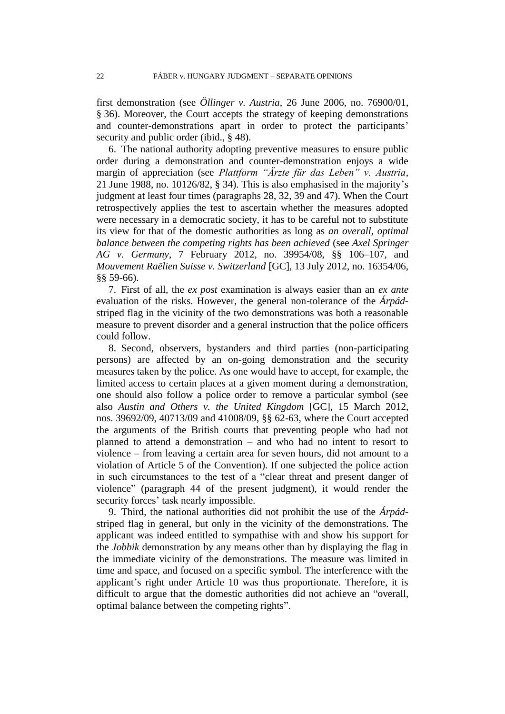first demonstration (see *Öllinger v. Austria,* 26 June 2006, no. 76900/01, § 36). Moreover, the Court accepts the strategy of keeping demonstrations and counter-demonstrations apart in order to protect the participants' security and public order (ibid., § 48).

6. The national authority adopting preventive measures to ensure public order during a demonstration and counter-demonstration enjoys a wide margin of appreciation (see *Plattform "Ärzte für das Leben" v. Austria*, 21 June 1988, no. 10126/82, § 34). This is also emphasised in the majority's judgment at least four times (paragraphs 28, 32, 39 and 47). When the Court retrospectively applies the test to ascertain whether the measures adopted were necessary in a democratic society, it has to be careful not to substitute its view for that of the domestic authorities as long as *an overall, optimal balance between the competing rights has been achieved* (see *Axel Springer AG v. Germany*, 7 February 2012, no. 39954/08, §§ 106–107, and *Mouvement Raëlien Suisse v. Switzerland* [GC], 13 July 2012, no. 16354/06, §§ 59-66).

7. First of all, the *ex post* examination is always easier than an *ex ante* evaluation of the risks. However, the general non-tolerance of the *Árpád*striped flag in the vicinity of the two demonstrations was both a reasonable measure to prevent disorder and a general instruction that the police officers could follow.

8. Second, observers, bystanders and third parties (non-participating persons) are affected by an on-going demonstration and the security measures taken by the police. As one would have to accept, for example, the limited access to certain places at a given moment during a demonstration, one should also follow a police order to remove a particular symbol (see also *Austin and Others v. the United Kingdom* [GC], 15 March 2012, nos. 39692/09, 40713/09 and 41008/09, §§ 62-63, where the Court accepted the arguments of the British courts that preventing people who had not planned to attend a demonstration – and who had no intent to resort to violence – from leaving a certain area for seven hours, did not amount to a violation of Article 5 of the Convention). If one subjected the police action in such circumstances to the test of a "clear threat and present danger of violence" (paragraph 44 of the present judgment), it would render the security forces' task nearly impossible.

9. Third, the national authorities did not prohibit the use of the *Árpád*striped flag in general, but only in the vicinity of the demonstrations. The applicant was indeed entitled to sympathise with and show his support for the *Jobbik* demonstration by any means other than by displaying the flag in the immediate vicinity of the demonstrations. The measure was limited in time and space, and focused on a specific symbol. The interference with the applicant's right under Article 10 was thus proportionate. Therefore, it is difficult to argue that the domestic authorities did not achieve an "overall, optimal balance between the competing rights".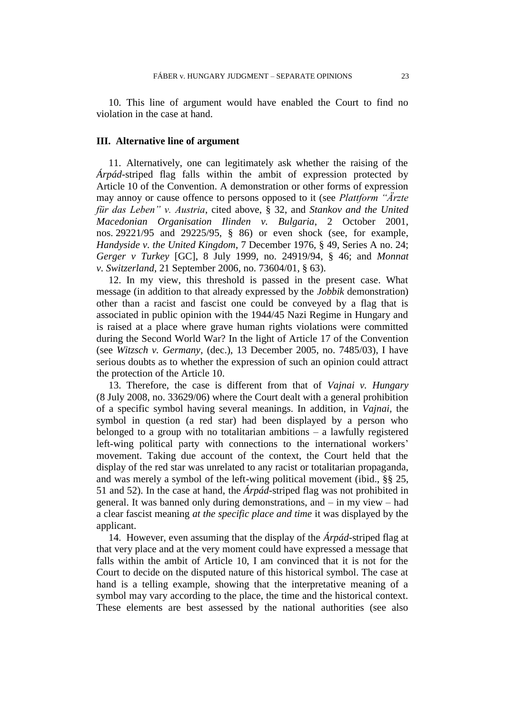10. This line of argument would have enabled the Court to find no violation in the case at hand.

#### **III. Alternative line of argument**

11. Alternatively, one can legitimately ask whether the raising of the *Árpád*-striped flag falls within the ambit of expression protected by Article 10 of the Convention. A demonstration or other forms of expression may annoy or cause offence to persons opposed to it (see *Plattform "Ärzte für das Leben" v. Austria*, cited above, § 32, and *Stankov and the United Macedonian Organisation Ilinden v. Bulgaria*, 2 October 2001, nos. 29221/95 and 29225/95, § 86) or even shock (see, for example, *Handyside v. the United Kingdom*, 7 December 1976, § 49, Series A no. 24; *Gerger v Turkey* [GC], 8 July 1999, no. 24919/94, § 46; and *Monnat v. Switzerland*, 21 September 2006, no. 73604/01, § 63).

12. In my view, this threshold is passed in the present case. What message (in addition to that already expressed by the *Jobbik* demonstration) other than a racist and fascist one could be conveyed by a flag that is associated in public opinion with the 1944/45 Nazi Regime in Hungary and is raised at a place where grave human rights violations were committed during the Second World War? In the light of Article 17 of the Convention (see *Witzsch v. Germany*, (dec.), 13 December 2005, no. 7485/03), I have serious doubts as to whether the expression of such an opinion could attract the protection of the Article 10.

13. Therefore, the case is different from that of *Vajnai v. Hungary* (8 July 2008, no. 33629/06) where the Court dealt with a general prohibition of a specific symbol having several meanings. In addition, in *Vajnai,* the symbol in question (a red star) had been displayed by a person who belonged to a group with no totalitarian ambitions – a lawfully registered left-wing political party with connections to the international workers' movement. Taking due account of the context, the Court held that the display of the red star was unrelated to any racist or totalitarian propaganda, and was merely a symbol of the left-wing political movement (ibid., §§ 25, 51 and 52). In the case at hand, the *Árpád*-striped flag was not prohibited in general. It was banned only during demonstrations, and – in my view – had a clear fascist meaning *at the specific place and time* it was displayed by the applicant.

14. However, even assuming that the display of the *Árpád*-striped flag at that very place and at the very moment could have expressed a message that falls within the ambit of Article 10, I am convinced that it is not for the Court to decide on the disputed nature of this historical symbol. The case at hand is a telling example, showing that the interpretative meaning of a symbol may vary according to the place, the time and the historical context. These elements are best assessed by the national authorities (see also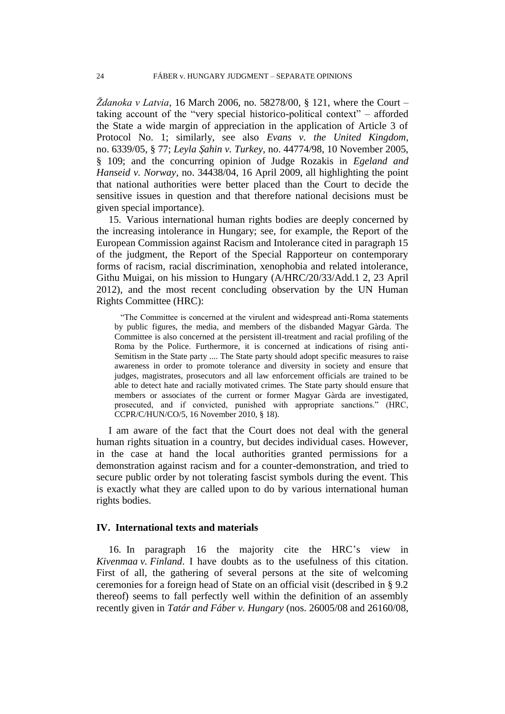*Ždanoka v Latvia*, 16 March 2006, no. 58278/00, § 121, where the Court – taking account of the "very special historico-political context" – afforded the State a wide margin of appreciation in the application of Article 3 of Protocol No. 1; similarly, see also *Evans v. the United Kingdom*, no. 6339/05, § 77; *Leyla Şahin v. Turkey*, no. 44774/98, 10 November 2005, § 109; and the concurring opinion of Judge Rozakis in *Egeland and Hanseid v. Norway,* no. 34438/04, 16 April 2009, all highlighting the point that national authorities were better placed than the Court to decide the sensitive issues in question and that therefore national decisions must be given special importance).

15. Various international human rights bodies are deeply concerned by the increasing intolerance in Hungary; see, for example, the Report of the European Commission against Racism and Intolerance cited in paragraph 15 of the judgment, the Report of the Special Rapporteur on contemporary forms of racism, racial discrimination, xenophobia and related intolerance, Githu Muigai, on his mission to Hungary (A/HRC/20/33/Add.1 2, 23 April 2012), and the most recent concluding observation by the UN Human Rights Committee (HRC):

"The Committee is concerned at the virulent and widespread anti-Roma statements by public figures, the media, and members of the disbanded Magyar Gàrda. The Committee is also concerned at the persistent ill-treatment and racial profiling of the Roma by the Police. Furthermore, it is concerned at indications of rising anti-Semitism in the State party .... The State party should adopt specific measures to raise awareness in order to promote tolerance and diversity in society and ensure that judges, magistrates, prosecutors and all law enforcement officials are trained to be able to detect hate and racially motivated crimes. The State party should ensure that members or associates of the current or former Magyar Gàrda are investigated, prosecuted, and if convicted, punished with appropriate sanctions." (HRC, CCPR/C/HUN/CO/5, 16 November 2010, § 18).

I am aware of the fact that the Court does not deal with the general human rights situation in a country, but decides individual cases. However, in the case at hand the local authorities granted permissions for a demonstration against racism and for a counter-demonstration, and tried to secure public order by not tolerating fascist symbols during the event. This is exactly what they are called upon to do by various international human rights bodies.

## **IV. International texts and materials**

16. In paragraph 16 the majority cite the HRC's view in *Kivenmaa v. Finland*. I have doubts as to the usefulness of this citation. First of all, the gathering of several persons at the site of welcoming ceremonies for a foreign head of State on an official visit (described in § 9.2 thereof) seems to fall perfectly well within the definition of an assembly recently given in *Tatár and Fáber v. Hungary* (nos. 26005/08 and 26160/08,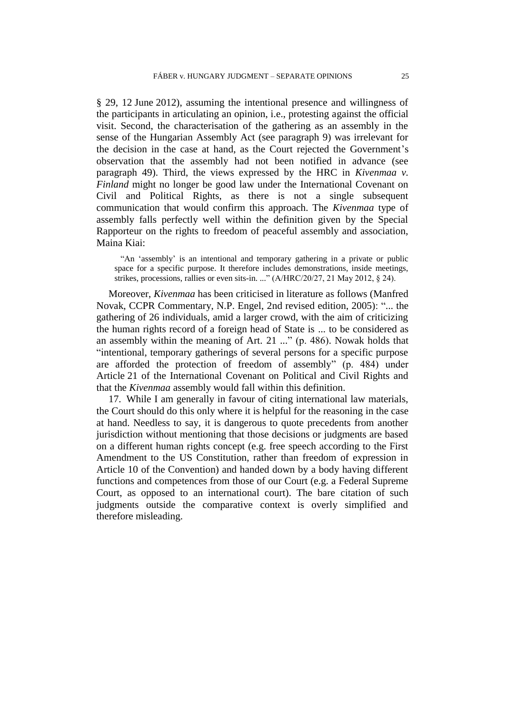§ 29, 12 June 2012), assuming the intentional presence and willingness of the participants in articulating an opinion, i.e., protesting against the official visit. Second, the characterisation of the gathering as an assembly in the sense of the Hungarian Assembly Act (see paragraph 9) was irrelevant for the decision in the case at hand, as the Court rejected the Government's observation that the assembly had not been notified in advance (see paragraph 49). Third, the views expressed by the HRC in *Kivenmaa v. Finland* might no longer be good law under the International Covenant on Civil and Political Rights, as there is not a single subsequent communication that would confirm this approach. The *Kivenmaa* type of assembly falls perfectly well within the definition given by the Special Rapporteur on the rights to freedom of peaceful assembly and association, Maina Kiai:

"An 'assembly' is an intentional and temporary gathering in a private or public space for a specific purpose. It therefore includes demonstrations, inside meetings, strikes, processions, rallies or even sits-in. ..." (A/HRC/20/27, 21 May 2012, § 24).

Moreover, *Kivenmaa* has been criticised in literature as follows (Manfred Novak, CCPR Commentary, N.P. Engel, 2nd revised edition, 2005): "... the gathering of 26 individuals, amid a larger crowd, with the aim of criticizing the human rights record of a foreign head of State is ... to be considered as an assembly within the meaning of Art. 21 ..." (p. 486). Nowak holds that "intentional, temporary gatherings of several persons for a specific purpose are afforded the protection of freedom of assembly" (p. 484) under Article 21 of the International Covenant on Political and Civil Rights and that the *Kivenmaa* assembly would fall within this definition.

17. While I am generally in favour of citing international law materials, the Court should do this only where it is helpful for the reasoning in the case at hand. Needless to say, it is dangerous to quote precedents from another jurisdiction without mentioning that those decisions or judgments are based on a different human rights concept (e.g. free speech according to the First Amendment to the US Constitution, rather than freedom of expression in Article 10 of the Convention) and handed down by a body having different functions and competences from those of our Court (e.g. a Federal Supreme Court, as opposed to an international court). The bare citation of such judgments outside the comparative context is overly simplified and therefore misleading.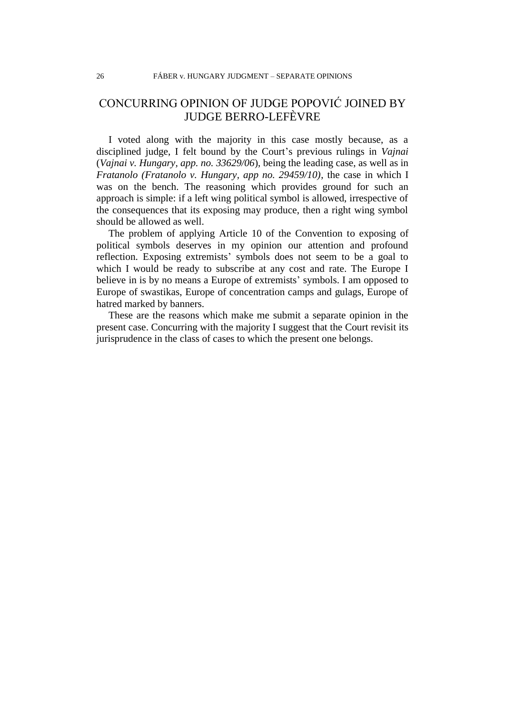## CONCURRING OPINION OF JUDGE POPOVIĆ JOINED BY JUDGE BERRO-LEFÈVRE

I voted along with the majority in this case mostly because, as a disciplined judge, I felt bound by the Court's previous rulings in *Vajnai*  (*Vajnai v. Hungary, app. no. 33629/06*), being the leading case, as well as in *Fratanolo (Fratanolo v. Hungary, app no. 29459/10)*, the case in which I was on the bench. The reasoning which provides ground for such an approach is simple: if a left wing political symbol is allowed, irrespective of the consequences that its exposing may produce, then a right wing symbol should be allowed as well.

The problem of applying Article 10 of the Convention to exposing of political symbols deserves in my opinion our attention and profound reflection. Exposing extremists' symbols does not seem to be a goal to which I would be ready to subscribe at any cost and rate. The Europe I believe in is by no means a Europe of extremists' symbols. I am opposed to Europe of swastikas, Europe of concentration camps and gulags, Europe of hatred marked by banners.

These are the reasons which make me submit a separate opinion in the present case. Concurring with the majority I suggest that the Court revisit its jurisprudence in the class of cases to which the present one belongs.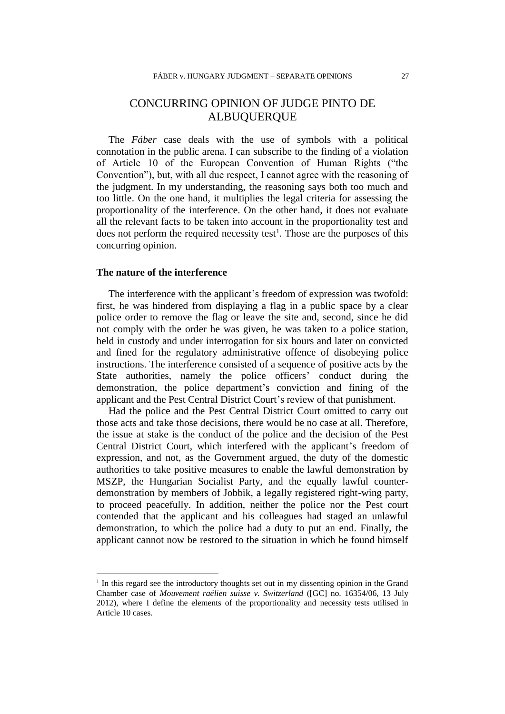## CONCURRING OPINION OF JUDGE PINTO DE ALBUQUERQUE

The *Fáber* case deals with the use of symbols with a political connotation in the public arena. I can subscribe to the finding of a violation of Article 10 of the European Convention of Human Rights ("the Convention"), but, with all due respect, I cannot agree with the reasoning of the judgment. In my understanding, the reasoning says both too much and too little. On the one hand, it multiplies the legal criteria for assessing the proportionality of the interference. On the other hand, it does not evaluate all the relevant facts to be taken into account in the proportionality test and does not perform the required necessity test<sup>1</sup>. Those are the purposes of this concurring opinion.

## **The nature of the interference**

 $\overline{a}$ 

The interference with the applicant's freedom of expression was twofold: first, he was hindered from displaying a flag in a public space by a clear police order to remove the flag or leave the site and, second, since he did not comply with the order he was given, he was taken to a police station, held in custody and under interrogation for six hours and later on convicted and fined for the regulatory administrative offence of disobeying police instructions. The interference consisted of a sequence of positive acts by the State authorities, namely the police officers' conduct during the demonstration, the police department's conviction and fining of the applicant and the Pest Central District Court's review of that punishment.

Had the police and the Pest Central District Court omitted to carry out those acts and take those decisions, there would be no case at all. Therefore, the issue at stake is the conduct of the police and the decision of the Pest Central District Court, which interfered with the applicant's freedom of expression, and not, as the Government argued, the duty of the domestic authorities to take positive measures to enable the lawful demonstration by MSZP, the Hungarian Socialist Party, and the equally lawful counterdemonstration by members of Jobbik, a legally registered right-wing party, to proceed peacefully. In addition, neither the police nor the Pest court contended that the applicant and his colleagues had staged an unlawful demonstration, to which the police had a duty to put an end. Finally, the applicant cannot now be restored to the situation in which he found himself

<sup>&</sup>lt;sup>1</sup> In this regard see the introductory thoughts set out in my dissenting opinion in the Grand Chamber case of *Mouvement raëlien suisse v. Switzerland* ([GC] no. 16354/06, 13 July 2012), where I define the elements of the proportionality and necessity tests utilised in Article 10 cases.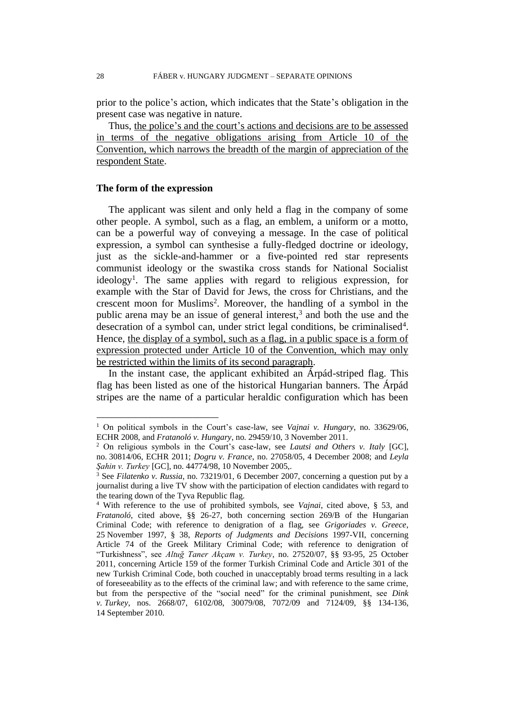prior to the police's action, which indicates that the State's obligation in the present case was negative in nature.

Thus, the police's and the court's actions and decisions are to be assessed in terms of the negative obligations arising from Article 10 of the Convention, which narrows the breadth of the margin of appreciation of the respondent State.

#### **The form of the expression**

 $\overline{a}$ 

The applicant was silent and only held a flag in the company of some other people. A symbol, such as a flag, an emblem, a uniform or a motto, can be a powerful way of conveying a message. In the case of political expression, a symbol can synthesise a fully-fledged doctrine or ideology, just as the sickle-and-hammer or a five-pointed red star represents communist ideology or the swastika cross stands for National Socialist ideology<sup>1</sup>. The same applies with regard to religious expression, for example with the Star of David for Jews, the cross for Christians, and the crescent moon for Muslims<sup>2</sup>. Moreover, the handling of a symbol in the public arena may be an issue of general interest,<sup>3</sup> and both the use and the desecration of a symbol can, under strict legal conditions, be criminalised<sup>4</sup>. Hence, the display of a symbol, such as a flag, in a public space is a form of expression protected under Article 10 of the Convention, which may only be restricted within the limits of its second paragraph.

In the instant case, the applicant exhibited an Árpád-striped flag. This flag has been listed as one of the historical Hungarian banners. The Árpád stripes are the name of a particular heraldic configuration which has been

<sup>1</sup> On political symbols in the Court's case-law, see *Vajnai v. Hungary*, no. 33629/06, ECHR 2008, and *Fratanoló v. Hungary*, no. 29459/10, 3 November 2011.

<sup>2</sup> On religious symbols in the Court's case-law, see *Lautsi and Others v. Italy* [GC], no. 30814/06, ECHR 2011; *Dogru v. France*, no. 27058/05, 4 December 2008; and *Leyla Şahin v. Turkey* [GC], no. 44774/98, 10 November 2005,.

<sup>3</sup> See *Filatenko v. Russia*, no. 73219/01, 6 December 2007, concerning a question put by a journalist during a live TV show with the participation of election candidates with regard to the tearing down of the Tyva Republic flag.

<sup>4</sup> With reference to the use of prohibited symbols, see *Vajnai*, cited above, § 53, and *Fratanoló*, cited above, §§ 26-27, both concerning section 269/B of the Hungarian Criminal Code; with reference to denigration of a flag, see *Grigoriades v. Greece*, 25 November 1997, § 38, *Reports of Judgments and Decisions* 1997-VII, concerning Article 74 of the Greek Military Criminal Code; with reference to denigration of "Turkishness", see *Altuğ Taner Akçam v. Turkey*, no. 27520/07, §§ 93-95, 25 October 2011, concerning Article 159 of the former Turkish Criminal Code and Article 301 of the new Turkish Criminal Code, both couched in unacceptably broad terms resulting in a lack of foreseeability as to the effects of the criminal law; and with reference to the same crime, but from the perspective of the "social need" for the criminal punishment, see *Dink v. Turkey*, nos. 2668/07, 6102/08, 30079/08, 7072/09 and 7124/09, §§ 134-136, 14 September 2010.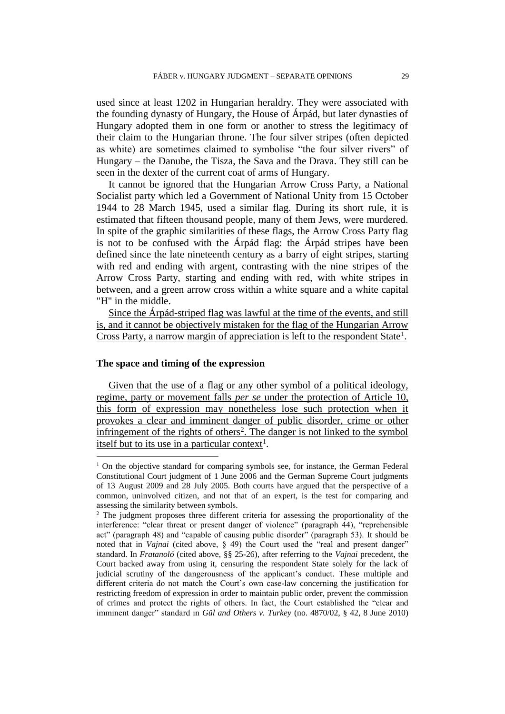used since at least 1202 in Hungarian heraldry. They were associated with the founding dynasty of Hungary, the House of Árpád, but later dynasties of Hungary adopted them in one form or another to stress the legitimacy of their claim to the Hungarian throne. The four silver stripes (often depicted as white) are sometimes claimed to symbolise "the four silver rivers" of Hungary – the Danube, the Tisza, the Sava and the Drava. They still can be seen in the dexter of the current coat of arms of Hungary.

It cannot be ignored that the Hungarian Arrow Cross Party, a National Socialist party which led a Government of National Unity from 15 October 1944 to 28 March 1945, used a similar flag. During its short rule, it is estimated that fifteen thousand people, many of them Jews, were murdered. In spite of the graphic similarities of these flags, the Arrow Cross Party flag is not to be confused with the Árpád flag: the Árpád stripes have been defined since the late nineteenth century as a barry of eight stripes, starting with red and ending with argent, contrasting with the nine stripes of the Arrow Cross Party, starting and ending with red, with white stripes in between, and a green arrow cross within a white square and a white capital "H" in the middle.

Since the Árpád-striped flag was lawful at the time of the events, and still is, and it cannot be objectively mistaken for the flag of the Hungarian Arrow Cross Party, a narrow margin of appreciation is left to the respondent State<sup>1</sup>.

## **The space and timing of the expression**

 $\overline{a}$ 

Given that the use of a flag or any other symbol of a political ideology, regime, party or movement falls *per se* under the protection of Article 10, this form of expression may nonetheless lose such protection when it provokes a clear and imminent danger of public disorder, crime or other infringement of the rights of others<sup>2</sup>. The danger is not linked to the symbol itself but to its use in a particular context<sup>1</sup>.

 $1$  On the objective standard for comparing symbols see, for instance, the German Federal Constitutional Court judgment of 1 June 2006 and the German Supreme Court judgments of 13 August 2009 and 28 July 2005. Both courts have argued that the perspective of a common, uninvolved citizen, and not that of an expert, is the test for comparing and assessing the similarity between symbols.

<sup>&</sup>lt;sup>2</sup> The judgment proposes three different criteria for assessing the proportionality of the interference: "clear threat or present danger of violence" (paragraph 44), "reprehensible act" (paragraph 48) and "capable of causing public disorder" (paragraph 53). It should be noted that in *Vajnai* (cited above, § 49) the Court used the "real and present danger" standard. In *Fratanoló* (cited above, §§ 25-26), after referring to the *Vajnai* precedent, the Court backed away from using it, censuring the respondent State solely for the lack of judicial scrutiny of the dangerousness of the applicant's conduct. These multiple and different criteria do not match the Court's own case-law concerning the justification for restricting freedom of expression in order to maintain public order, prevent the commission of crimes and protect the rights of others. In fact, the Court established the "clear and imminent danger" standard in *Gül and Others v. Turkey* (no. 4870/02, § 42, 8 June 2010)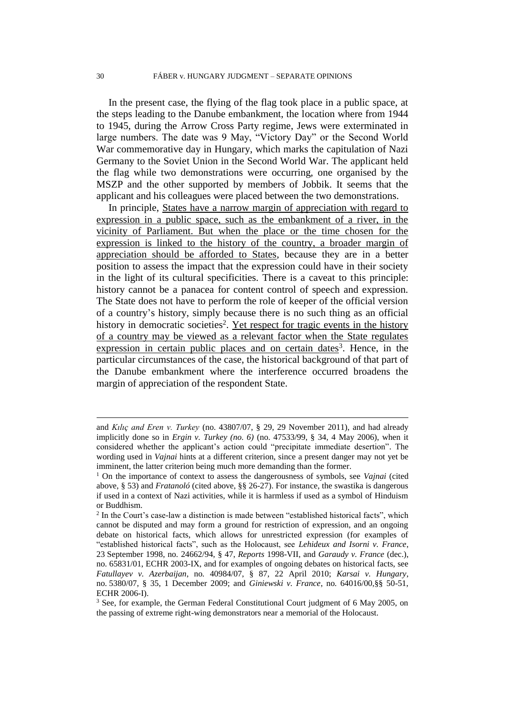In the present case, the flying of the flag took place in a public space, at the steps leading to the Danube embankment, the location where from 1944 to 1945, during the Arrow Cross Party regime, Jews were exterminated in large numbers. The date was 9 May, "Victory Day" or the Second World War commemorative day in Hungary, which marks the capitulation of Nazi Germany to the Soviet Union in the Second World War. The applicant held the flag while two demonstrations were occurring, one organised by the MSZP and the other supported by members of Jobbik. It seems that the applicant and his colleagues were placed between the two demonstrations.

In principle, States have a narrow margin of appreciation with regard to expression in a public space, such as the embankment of a river, in the vicinity of Parliament. But when the place or the time chosen for the expression is linked to the history of the country, a broader margin of appreciation should be afforded to States, because they are in a better position to assess the impact that the expression could have in their society in the light of its cultural specificities. There is a caveat to this principle: history cannot be a panacea for content control of speech and expression. The State does not have to perform the role of keeper of the official version of a country's history, simply because there is no such thing as an official history in democratic societies<sup>2</sup>. Yet respect for tragic events in the history of a country may be viewed as a relevant factor when the State regulates expression in certain public places and on certain dates<sup>3</sup>. Hence, in the particular circumstances of the case, the historical background of that part of the Danube embankment where the interference occurred broadens the margin of appreciation of the respondent State.

 $\overline{a}$ 

and *Kılıç and Eren v. Turkey* (no. 43807/07, § 29, 29 November 2011), and had already implicitly done so in *Ergin v. Turkey (no. 6)* (no. 47533/99, § 34, 4 May 2006), when it considered whether the applicant's action could "precipitate immediate desertion". The wording used in *Vajnai* hints at a different criterion, since a present danger may not yet be imminent, the latter criterion being much more demanding than the former.

<sup>1</sup> On the importance of context to assess the dangerousness of symbols, see *Vajnai* (cited above, § 53) and *Fratanoló* (cited above, §§ 26-27). For instance, the swastika is dangerous if used in a context of Nazi activities, while it is harmless if used as a symbol of Hinduism or Buddhism.

 $2$  In the Court's case-law a distinction is made between "established historical facts", which cannot be disputed and may form a ground for restriction of expression, and an ongoing debate on historical facts, which allows for unrestricted expression (for examples of "established historical facts", such as the Holocaust, see *Lehideux and Isorni v. France*, 23 September 1998, no. 24662/94, § 47, *Reports* 1998-VII, and *Garaudy v. France* (dec.), no. 65831/01, ECHR 2003-IX, and for examples of ongoing debates on historical facts, see *Fatullayev v. Azerbaijan*, no. 40984/07, § 87, 22 April 2010; *Karsai v. Hungary*, no. 5380/07, § 35, 1 December 2009; and *Giniewski v. France*, no. 64016/00,§§ 50-51, ECHR 2006-I).

<sup>&</sup>lt;sup>3</sup> See, for example, the German Federal Constitutional Court judgment of 6 May 2005, on the passing of extreme right-wing demonstrators near a memorial of the Holocaust.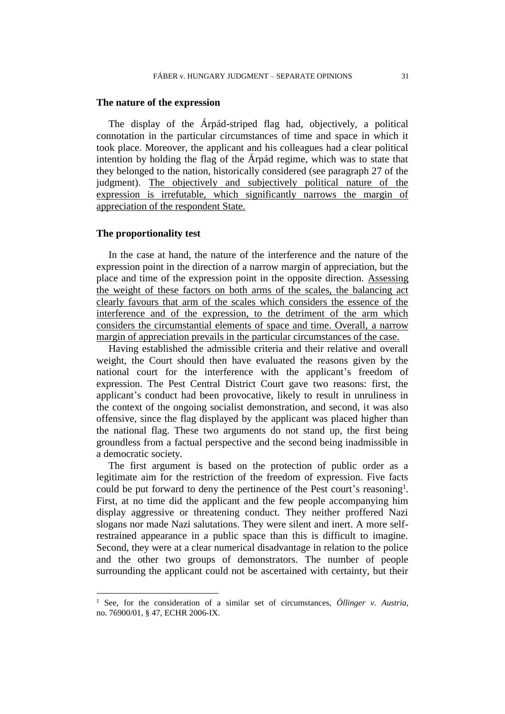#### **The nature of the expression**

The display of the Árpád-striped flag had, objectively, a political connotation in the particular circumstances of time and space in which it took place. Moreover, the applicant and his colleagues had a clear political intention by holding the flag of the Árpád regime, which was to state that they belonged to the nation, historically considered (see paragraph 27 of the judgment). The objectively and subjectively political nature of the expression is irrefutable, which significantly narrows the margin of appreciation of the respondent State.

## **The proportionality test**

 $\overline{a}$ 

In the case at hand, the nature of the interference and the nature of the expression point in the direction of a narrow margin of appreciation, but the place and time of the expression point in the opposite direction. Assessing the weight of these factors on both arms of the scales, the balancing act clearly favours that arm of the scales which considers the essence of the interference and of the expression, to the detriment of the arm which considers the circumstantial elements of space and time. Overall, a narrow margin of appreciation prevails in the particular circumstances of the case.

Having established the admissible criteria and their relative and overall weight, the Court should then have evaluated the reasons given by the national court for the interference with the applicant's freedom of expression. The Pest Central District Court gave two reasons: first, the applicant's conduct had been provocative, likely to result in unruliness in the context of the ongoing socialist demonstration, and second, it was also offensive, since the flag displayed by the applicant was placed higher than the national flag. These two arguments do not stand up, the first being groundless from a factual perspective and the second being inadmissible in a democratic society.

The first argument is based on the protection of public order as a legitimate aim for the restriction of the freedom of expression. Five facts could be put forward to deny the pertinence of the Pest court's reasoning<sup>1</sup>. First, at no time did the applicant and the few people accompanying him display aggressive or threatening conduct. They neither proffered Nazi slogans nor made Nazi salutations. They were silent and inert. A more selfrestrained appearance in a public space than this is difficult to imagine. Second, they were at a clear numerical disadvantage in relation to the police and the other two groups of demonstrators. The number of people surrounding the applicant could not be ascertained with certainty, but their

<sup>1</sup> See, for the consideration of a similar set of circumstances, *Öllinger v. Austria*, no. 76900/01, § 47, ECHR 2006-IX.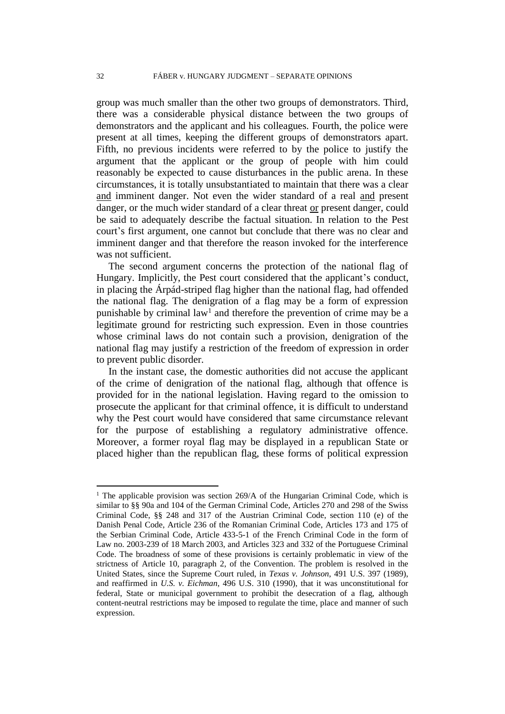group was much smaller than the other two groups of demonstrators. Third, there was a considerable physical distance between the two groups of demonstrators and the applicant and his colleagues. Fourth, the police were present at all times, keeping the different groups of demonstrators apart. Fifth, no previous incidents were referred to by the police to justify the argument that the applicant or the group of people with him could reasonably be expected to cause disturbances in the public arena. In these circumstances, it is totally unsubstantiated to maintain that there was a clear and imminent danger. Not even the wider standard of a real and present danger, or the much wider standard of a clear threat or present danger, could be said to adequately describe the factual situation. In relation to the Pest court's first argument, one cannot but conclude that there was no clear and imminent danger and that therefore the reason invoked for the interference was not sufficient.

The second argument concerns the protection of the national flag of Hungary. Implicitly, the Pest court considered that the applicant's conduct, in placing the Árpád-striped flag higher than the national flag, had offended the national flag. The denigration of a flag may be a form of expression punishable by criminal  $law<sup>1</sup>$  and therefore the prevention of crime may be a legitimate ground for restricting such expression. Even in those countries whose criminal laws do not contain such a provision, denigration of the national flag may justify a restriction of the freedom of expression in order to prevent public disorder.

In the instant case, the domestic authorities did not accuse the applicant of the crime of denigration of the national flag, although that offence is provided for in the national legislation. Having regard to the omission to prosecute the applicant for that criminal offence, it is difficult to understand why the Pest court would have considered that same circumstance relevant for the purpose of establishing a regulatory administrative offence. Moreover, a former royal flag may be displayed in a republican State or placed higher than the republican flag, these forms of political expression

 $\overline{a}$ 

<sup>&</sup>lt;sup>1</sup> The applicable provision was section  $269/A$  of the Hungarian Criminal Code, which is similar to §§ 90a and 104 of the German Criminal Code, Articles 270 and 298 of the Swiss Criminal Code, §§ 248 and 317 of the Austrian Criminal Code, section 110 (e) of the Danish Penal Code, Article 236 of the Romanian Criminal Code, Articles 173 and 175 of the Serbian Criminal Code, Article 433-5-1 of the French Criminal Code in the form of Law no. 2003-239 of 18 March 2003, and Articles 323 and 332 of the Portuguese Criminal Code. The broadness of some of these provisions is certainly problematic in view of the strictness of Article 10, paragraph 2, of the Convention. The problem is resolved in the United States, since the Supreme Court ruled, in *Texas v. Johnson*, 491 U.S. 397 (1989), and reaffirmed in *U.S. v. Eichman*, 496 U.S. 310 (1990), that it was unconstitutional for federal, State or municipal government to prohibit the desecration of a flag, although content-neutral restrictions may be imposed to regulate the time, place and manner of such expression.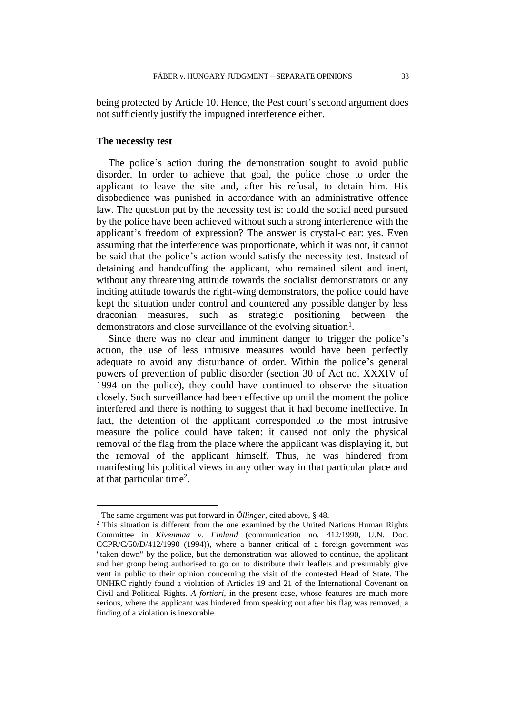being protected by Article 10. Hence, the Pest court's second argument does not sufficiently justify the impugned interference either.

## **The necessity test**

 $\overline{a}$ 

The police's action during the demonstration sought to avoid public disorder. In order to achieve that goal, the police chose to order the applicant to leave the site and, after his refusal, to detain him. His disobedience was punished in accordance with an administrative offence law. The question put by the necessity test is: could the social need pursued by the police have been achieved without such a strong interference with the applicant's freedom of expression? The answer is crystal-clear: yes. Even assuming that the interference was proportionate, which it was not, it cannot be said that the police's action would satisfy the necessity test. Instead of detaining and handcuffing the applicant, who remained silent and inert, without any threatening attitude towards the socialist demonstrators or any inciting attitude towards the right-wing demonstrators, the police could have kept the situation under control and countered any possible danger by less draconian measures, such as strategic positioning between the demonstrators and close surveillance of the evolving situation<sup>1</sup>.

Since there was no clear and imminent danger to trigger the police's action, the use of less intrusive measures would have been perfectly adequate to avoid any disturbance of order. Within the police's general powers of prevention of public disorder (section 30 of Act no. XXXIV of 1994 on the police), they could have continued to observe the situation closely. Such surveillance had been effective up until the moment the police interfered and there is nothing to suggest that it had become ineffective. In fact, the detention of the applicant corresponded to the most intrusive measure the police could have taken: it caused not only the physical removal of the flag from the place where the applicant was displaying it, but the removal of the applicant himself. Thus, he was hindered from manifesting his political views in any other way in that particular place and at that particular time<sup>2</sup>.

<sup>1</sup> The same argument was put forward in *Öllinger*, cited above, § 48.

<sup>&</sup>lt;sup>2</sup> This situation is different from the one examined by the United Nations Human Rights Committee in *Kivenmaa v. Finland* (communication no. 412/1990, U.N. Doc. CCPR/C/50/D/412/1990 (1994)), where a banner critical of a foreign government was "taken down" by the police, but the demonstration was allowed to continue, the applicant and her group being authorised to go on to distribute their leaflets and presumably give vent in public to their opinion concerning the visit of the contested Head of State. The UNHRC rightly found a violation of Articles 19 and 21 of the International Covenant on Civil and Political Rights. *A fortiori*, in the present case, whose features are much more serious, where the applicant was hindered from speaking out after his flag was removed, a finding of a violation is inexorable.